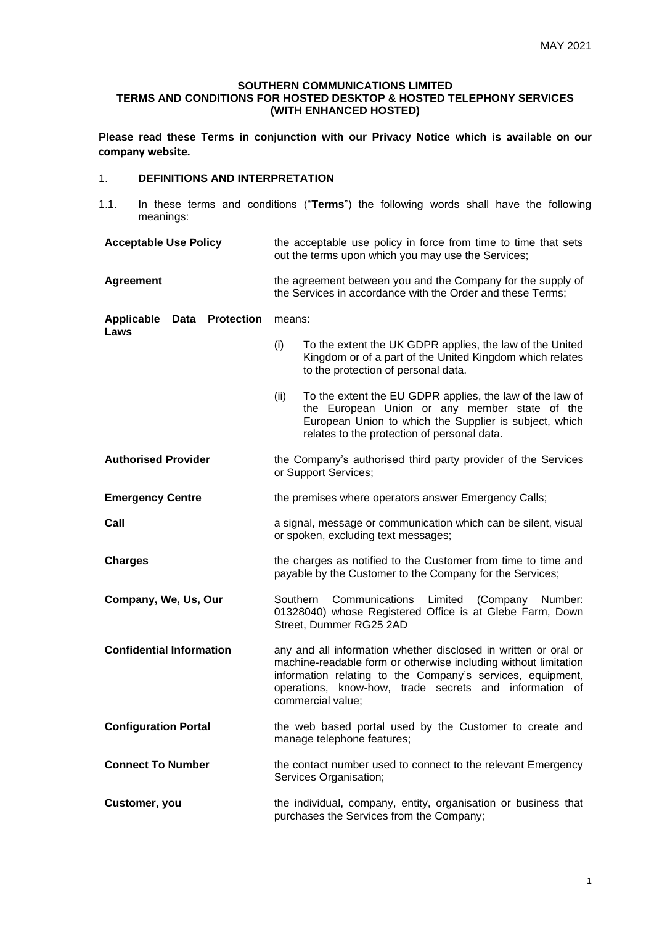#### **SOUTHERN COMMUNICATIONS LIMITED TERMS AND CONDITIONS FOR HOSTED DESKTOP & HOSTED TELEPHONY SERVICES (WITH ENHANCED HOSTED)**

**Please read these Terms in conjunction with our Privacy Notice which is available on our company website.**

## 1. **DEFINITIONS AND INTERPRETATION**

- 1.1. In these terms and conditions ("**Terms**") the following words shall have the following meanings:
- **Acceptable Use Policy** the acceptable use policy in force from time to time that sets out the terms upon which you may use the Services;
- **Agreement** the agreement between you and the Company for the supply of the Services in accordance with the Order and these Terms;

#### **Applicable Data Protection Laws** means:

- (i) To the extent the UK GDPR applies, the law of the United Kingdom or of a part of the United Kingdom which relates to the protection of personal data.
- (ii) To the extent the EU GDPR applies, the law of the law of the European Union or any member state of the European Union to which the Supplier is subject, which relates to the protection of personal data.
- **Authorised Provider** the Company's authorised third party provider of the Services or Support Services;
- **Emergency Centre** the premises where operators answer Emergency Calls;
- **Call Call Call Call Call Call Call Call Call Call CALL CALL CALL CALL CALL CALL CALL CALL CALL CALL CALL CALL CALL CALL CALL CALL CALL CALL CALL CALL CALL CALL** or spoken, excluding text messages;
- **Charges** the charges as notified to the Customer from time to time and payable by the Customer to the Company for the Services;
- **Company, We, Us, Our** Southern Communications Limited (Company Number: 01328040) whose Registered Office is at Glebe Farm, Down Street, Dummer RG25 2AD
- **Confidential Information** any and all information whether disclosed in written or oral or machine-readable form or otherwise including without limitation information relating to the Company's services, equipment, operations, know-how, trade secrets and information of commercial value;
- **Configuration Portal** the web based portal used by the Customer to create and manage telephone features;
- **Connect To Number** the contact number used to connect to the relevant Emergency Services Organisation;
- **Customer, you** the individual, company, entity, organisation or business that purchases the Services from the Company;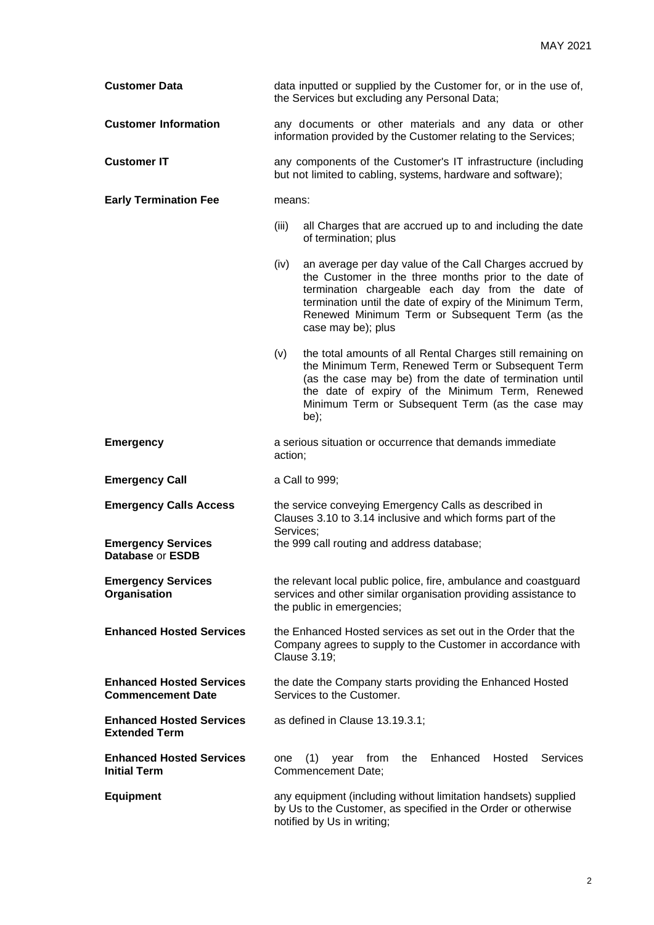| <b>Customer Data</b>                                        | data inputted or supplied by the Customer for, or in the use of,<br>the Services but excluding any Personal Data;                                                                                                                                                                                                  |  |  |
|-------------------------------------------------------------|--------------------------------------------------------------------------------------------------------------------------------------------------------------------------------------------------------------------------------------------------------------------------------------------------------------------|--|--|
| <b>Customer Information</b>                                 | any documents or other materials and any data or other<br>information provided by the Customer relating to the Services;                                                                                                                                                                                           |  |  |
| <b>Customer IT</b>                                          | any components of the Customer's IT infrastructure (including<br>but not limited to cabling, systems, hardware and software);                                                                                                                                                                                      |  |  |
| <b>Early Termination Fee</b>                                | means:                                                                                                                                                                                                                                                                                                             |  |  |
|                                                             | (iii)<br>all Charges that are accrued up to and including the date<br>of termination; plus                                                                                                                                                                                                                         |  |  |
|                                                             | (iv)<br>an average per day value of the Call Charges accrued by<br>the Customer in the three months prior to the date of<br>termination chargeable each day from the date of<br>termination until the date of expiry of the Minimum Term,<br>Renewed Minimum Term or Subsequent Term (as the<br>case may be); plus |  |  |
|                                                             | the total amounts of all Rental Charges still remaining on<br>(v)<br>the Minimum Term, Renewed Term or Subsequent Term<br>(as the case may be) from the date of termination until<br>the date of expiry of the Minimum Term, Renewed<br>Minimum Term or Subsequent Term (as the case may<br>be);                   |  |  |
| <b>Emergency</b>                                            | a serious situation or occurrence that demands immediate<br>action;                                                                                                                                                                                                                                                |  |  |
| <b>Emergency Call</b>                                       | a Call to 999;                                                                                                                                                                                                                                                                                                     |  |  |
| <b>Emergency Calls Access</b>                               | the service conveying Emergency Calls as described in<br>Clauses 3.10 to 3.14 inclusive and which forms part of the<br>Services;                                                                                                                                                                                   |  |  |
| <b>Emergency Services</b><br><b>Database or ESDB</b>        | the 999 call routing and address database;                                                                                                                                                                                                                                                                         |  |  |
| <b>Emergency Services</b><br>Organisation                   | the relevant local public police, fire, ambulance and coastguard<br>services and other similar organisation providing assistance to<br>the public in emergencies;                                                                                                                                                  |  |  |
| <b>Enhanced Hosted Services</b>                             | the Enhanced Hosted services as set out in the Order that the<br>Company agrees to supply to the Customer in accordance with<br><b>Clause 3.19;</b>                                                                                                                                                                |  |  |
| <b>Enhanced Hosted Services</b><br><b>Commencement Date</b> | the date the Company starts providing the Enhanced Hosted<br>Services to the Customer.                                                                                                                                                                                                                             |  |  |
| <b>Enhanced Hosted Services</b><br><b>Extended Term</b>     | as defined in Clause 13.19.3.1;                                                                                                                                                                                                                                                                                    |  |  |
| <b>Enhanced Hosted Services</b><br><b>Initial Term</b>      | Enhanced<br>Hosted<br><b>Services</b><br>(1)<br>from<br>the<br>one<br>year<br>Commencement Date;                                                                                                                                                                                                                   |  |  |
| <b>Equipment</b>                                            | any equipment (including without limitation handsets) supplied<br>by Us to the Customer, as specified in the Order or otherwise<br>notified by Us in writing;                                                                                                                                                      |  |  |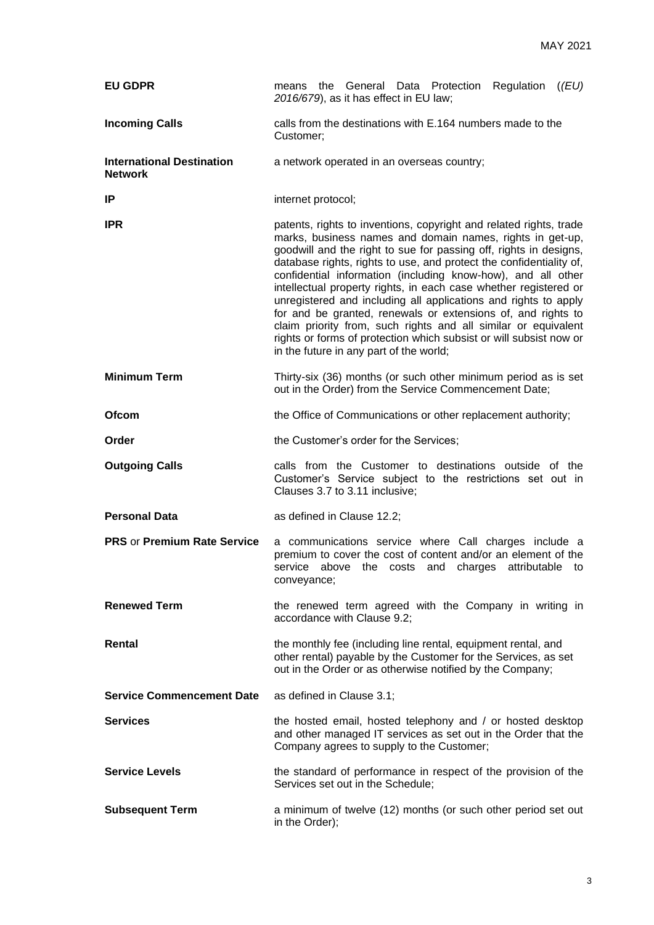| <b>EU GDPR</b>                                     | means the General Data Protection Regulation ((EU)<br>2016/679), as it has effect in EU law;                                                                                                                                                                                                                                                                                                                                                                                                                                                                                                                                                                                                                                          |  |  |  |  |
|----------------------------------------------------|---------------------------------------------------------------------------------------------------------------------------------------------------------------------------------------------------------------------------------------------------------------------------------------------------------------------------------------------------------------------------------------------------------------------------------------------------------------------------------------------------------------------------------------------------------------------------------------------------------------------------------------------------------------------------------------------------------------------------------------|--|--|--|--|
| <b>Incoming Calls</b>                              | calls from the destinations with E.164 numbers made to the<br>Customer;                                                                                                                                                                                                                                                                                                                                                                                                                                                                                                                                                                                                                                                               |  |  |  |  |
| <b>International Destination</b><br><b>Network</b> | a network operated in an overseas country;                                                                                                                                                                                                                                                                                                                                                                                                                                                                                                                                                                                                                                                                                            |  |  |  |  |
| IP                                                 | internet protocol;                                                                                                                                                                                                                                                                                                                                                                                                                                                                                                                                                                                                                                                                                                                    |  |  |  |  |
| <b>IPR</b>                                         | patents, rights to inventions, copyright and related rights, trade<br>marks, business names and domain names, rights in get-up,<br>goodwill and the right to sue for passing off, rights in designs,<br>database rights, rights to use, and protect the confidentiality of,<br>confidential information (including know-how), and all other<br>intellectual property rights, in each case whether registered or<br>unregistered and including all applications and rights to apply<br>for and be granted, renewals or extensions of, and rights to<br>claim priority from, such rights and all similar or equivalent<br>rights or forms of protection which subsist or will subsist now or<br>in the future in any part of the world; |  |  |  |  |
| <b>Minimum Term</b>                                | Thirty-six (36) months (or such other minimum period as is set<br>out in the Order) from the Service Commencement Date;                                                                                                                                                                                                                                                                                                                                                                                                                                                                                                                                                                                                               |  |  |  |  |
| Ofcom                                              | the Office of Communications or other replacement authority;                                                                                                                                                                                                                                                                                                                                                                                                                                                                                                                                                                                                                                                                          |  |  |  |  |
| Order                                              | the Customer's order for the Services;                                                                                                                                                                                                                                                                                                                                                                                                                                                                                                                                                                                                                                                                                                |  |  |  |  |
| <b>Outgoing Calls</b>                              | calls from the Customer to destinations outside of the<br>Customer's Service subject to the restrictions set out in<br>Clauses 3.7 to 3.11 inclusive;                                                                                                                                                                                                                                                                                                                                                                                                                                                                                                                                                                                 |  |  |  |  |
| <b>Personal Data</b>                               | as defined in Clause 12.2;                                                                                                                                                                                                                                                                                                                                                                                                                                                                                                                                                                                                                                                                                                            |  |  |  |  |
| <b>PRS or Premium Rate Service</b>                 | a communications service where Call charges include a<br>premium to cover the cost of content and/or an element of the<br>service above the costs and charges attributable to<br>conveyance;                                                                                                                                                                                                                                                                                                                                                                                                                                                                                                                                          |  |  |  |  |
| <b>Renewed Term</b>                                | the renewed term agreed with the Company in writing in<br>accordance with Clause 9.2;                                                                                                                                                                                                                                                                                                                                                                                                                                                                                                                                                                                                                                                 |  |  |  |  |
| Rental                                             | the monthly fee (including line rental, equipment rental, and<br>other rental) payable by the Customer for the Services, as set<br>out in the Order or as otherwise notified by the Company;                                                                                                                                                                                                                                                                                                                                                                                                                                                                                                                                          |  |  |  |  |
| <b>Service Commencement Date</b>                   | as defined in Clause 3.1;                                                                                                                                                                                                                                                                                                                                                                                                                                                                                                                                                                                                                                                                                                             |  |  |  |  |
| <b>Services</b>                                    | the hosted email, hosted telephony and / or hosted desktop<br>and other managed IT services as set out in the Order that the<br>Company agrees to supply to the Customer;                                                                                                                                                                                                                                                                                                                                                                                                                                                                                                                                                             |  |  |  |  |
| <b>Service Levels</b>                              | the standard of performance in respect of the provision of the<br>Services set out in the Schedule;                                                                                                                                                                                                                                                                                                                                                                                                                                                                                                                                                                                                                                   |  |  |  |  |
| <b>Subsequent Term</b>                             | a minimum of twelve (12) months (or such other period set out<br>in the Order);                                                                                                                                                                                                                                                                                                                                                                                                                                                                                                                                                                                                                                                       |  |  |  |  |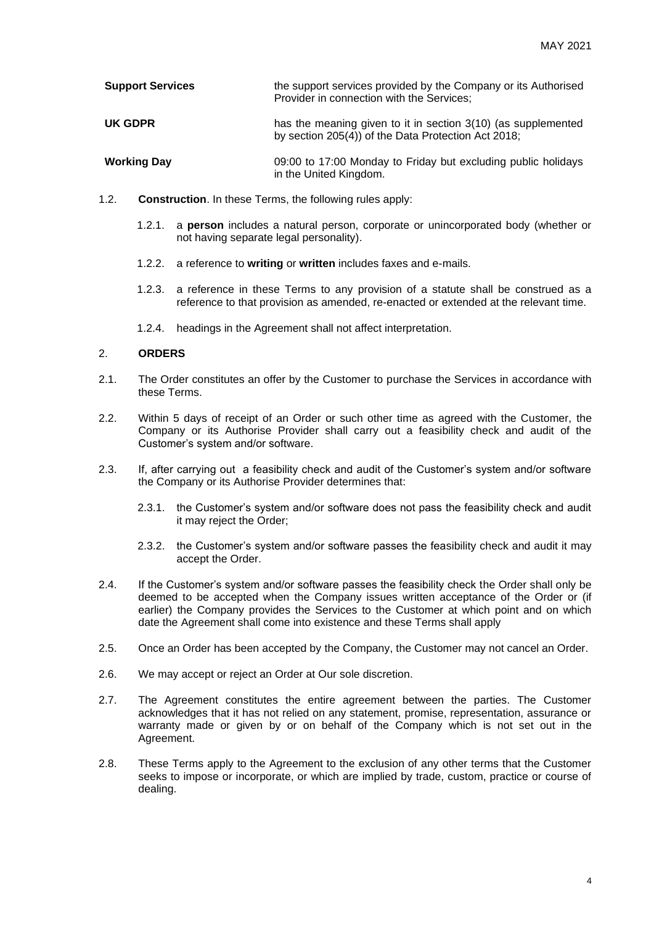| <b>Support Services</b> | the support services provided by the Company or its Authorised<br>Provider in connection with the Services; |
|-------------------------|-------------------------------------------------------------------------------------------------------------|
| UK GDPR                 | has the meaning given to it in section 3(10) (as supplemented                                               |

- **Working Day** 09:00 to 17:00 Monday to Friday but excluding public holidays in the United Kingdom.
- 1.2. **Construction**. In these Terms, the following rules apply:
	- 1.2.1. a **person** includes a natural person, corporate or unincorporated body (whether or not having separate legal personality).

by section 205(4)) of the Data Protection Act 2018;

- 1.2.2. a reference to **writing** or **written** includes faxes and e-mails.
- 1.2.3. a reference in these Terms to any provision of a statute shall be construed as a reference to that provision as amended, re-enacted or extended at the relevant time.
- 1.2.4. headings in the Agreement shall not affect interpretation.

# 2. **ORDERS**

- 2.1. The Order constitutes an offer by the Customer to purchase the Services in accordance with these Terms.
- 2.2. Within 5 days of receipt of an Order or such other time as agreed with the Customer, the Company or its Authorise Provider shall carry out a feasibility check and audit of the Customer's system and/or software.
- 2.3. If, after carrying out a feasibility check and audit of the Customer's system and/or software the Company or its Authorise Provider determines that:
	- 2.3.1. the Customer's system and/or software does not pass the feasibility check and audit it may reject the Order;
	- 2.3.2. the Customer's system and/or software passes the feasibility check and audit it may accept the Order.
- 2.4. If the Customer's system and/or software passes the feasibility check the Order shall only be deemed to be accepted when the Company issues written acceptance of the Order or (if earlier) the Company provides the Services to the Customer at which point and on which date the Agreement shall come into existence and these Terms shall apply
- 2.5. Once an Order has been accepted by the Company, the Customer may not cancel an Order.
- 2.6. We may accept or reject an Order at Our sole discretion.
- 2.7. The Agreement constitutes the entire agreement between the parties. The Customer acknowledges that it has not relied on any statement, promise, representation, assurance or warranty made or given by or on behalf of the Company which is not set out in the Agreement.
- 2.8. These Terms apply to the Agreement to the exclusion of any other terms that the Customer seeks to impose or incorporate, or which are implied by trade, custom, practice or course of dealing.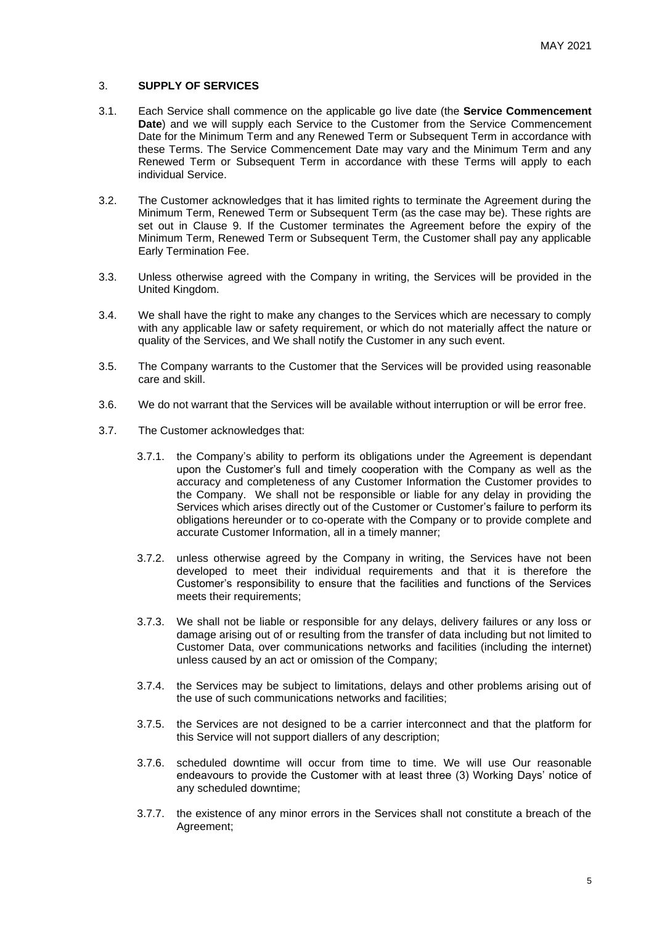## 3. **SUPPLY OF SERVICES**

- 3.1. Each Service shall commence on the applicable go live date (the **Service Commencement Date**) and we will supply each Service to the Customer from the Service Commencement Date for the Minimum Term and any Renewed Term or Subsequent Term in accordance with these Terms. The Service Commencement Date may vary and the Minimum Term and any Renewed Term or Subsequent Term in accordance with these Terms will apply to each individual Service.
- 3.2. The Customer acknowledges that it has limited rights to terminate the Agreement during the Minimum Term, Renewed Term or Subsequent Term (as the case may be). These rights are set out in Clause 9. If the Customer terminates the Agreement before the expiry of the Minimum Term, Renewed Term or Subsequent Term, the Customer shall pay any applicable Early Termination Fee.
- 3.3. Unless otherwise agreed with the Company in writing, the Services will be provided in the United Kingdom.
- 3.4. We shall have the right to make any changes to the Services which are necessary to comply with any applicable law or safety requirement, or which do not materially affect the nature or quality of the Services, and We shall notify the Customer in any such event.
- 3.5. The Company warrants to the Customer that the Services will be provided using reasonable care and skill.
- 3.6. We do not warrant that the Services will be available without interruption or will be error free.
- 3.7. The Customer acknowledges that:
	- 3.7.1. the Company's ability to perform its obligations under the Agreement is dependant upon the Customer's full and timely cooperation with the Company as well as the accuracy and completeness of any Customer Information the Customer provides to the Company. We shall not be responsible or liable for any delay in providing the Services which arises directly out of the Customer or Customer's failure to perform its obligations hereunder or to co-operate with the Company or to provide complete and accurate Customer Information, all in a timely manner;
	- 3.7.2. unless otherwise agreed by the Company in writing, the Services have not been developed to meet their individual requirements and that it is therefore the Customer's responsibility to ensure that the facilities and functions of the Services meets their requirements;
	- 3.7.3. We shall not be liable or responsible for any delays, delivery failures or any loss or damage arising out of or resulting from the transfer of data including but not limited to Customer Data, over communications networks and facilities (including the internet) unless caused by an act or omission of the Company;
	- 3.7.4. the Services may be subject to limitations, delays and other problems arising out of the use of such communications networks and facilities;
	- 3.7.5. the Services are not designed to be a carrier interconnect and that the platform for this Service will not support diallers of any description;
	- 3.7.6. scheduled downtime will occur from time to time. We will use Our reasonable endeavours to provide the Customer with at least three (3) Working Days' notice of any scheduled downtime;
	- 3.7.7. the existence of any minor errors in the Services shall not constitute a breach of the Agreement;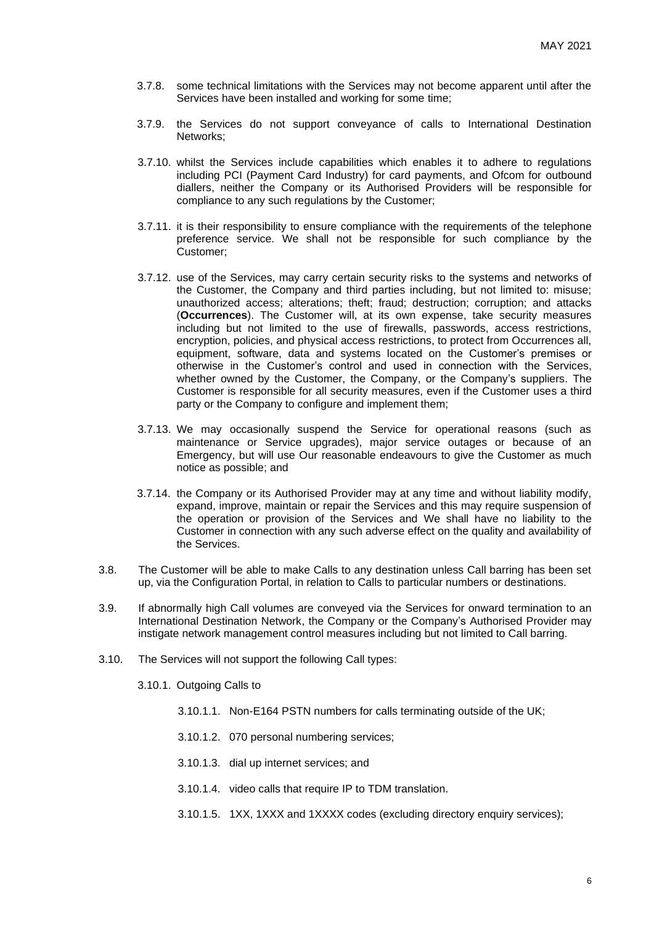- 3.7.8. some technical limitations with the Services may not become apparent until after the Services have been installed and working for some time;
- 3.7.9. the Services do not support conveyance of calls to International Destination Networks;
- 3.7.10. whilst the Services include capabilities which enables it to adhere to regulations including PCI (Payment Card Industry) for card payments, and Ofcom for outbound diallers, neither the Company or its Authorised Providers will be responsible for compliance to any such regulations by the Customer;
- 3.7.11. it is their responsibility to ensure compliance with the requirements of the telephone preference service. We shall not be responsible for such compliance by the Customer;
- 3.7.12. use of the Services, may carry certain security risks to the systems and networks of the Customer, the Company and third parties including, but not limited to: misuse; unauthorized access; alterations; theft; fraud; destruction; corruption; and attacks (**Occurrences**). The Customer will, at its own expense, take security measures including but not limited to the use of firewalls, passwords, access restrictions, encryption, policies, and physical access restrictions, to protect from Occurrences all, equipment, software, data and systems located on the Customer's premises or otherwise in the Customer's control and used in connection with the Services, whether owned by the Customer, the Company, or the Company's suppliers. The Customer is responsible for all security measures, even if the Customer uses a third party or the Company to configure and implement them:
- 3.7.13. We may occasionally suspend the Service for operational reasons (such as maintenance or Service upgrades), major service outages or because of an Emergency, but will use Our reasonable endeavours to give the Customer as much notice as possible; and
- 3.7.14. the Company or its Authorised Provider may at any time and without liability modify, expand, improve, maintain or repair the Services and this may require suspension of the operation or provision of the Services and We shall have no liability to the Customer in connection with any such adverse effect on the quality and availability of the Services.
- 3.8. The Customer will be able to make Calls to any destination unless Call barring has been set up, via the Configuration Portal, in relation to Calls to particular numbers or destinations.
- 3.9. If abnormally high Call volumes are conveyed via the Services for onward termination to an International Destination Network, the Company or the Company's Authorised Provider may instigate network management control measures including but not limited to Call barring.
- 3.10. The Services will not support the following Call types:
	- 3.10.1. Outgoing Calls to
		- 3.10.1.1. Non-E164 PSTN numbers for calls terminating outside of the UK;
		- 3.10.1.2. 070 personal numbering services;
		- 3.10.1.3. dial up internet services; and
		- 3.10.1.4. video calls that require IP to TDM translation.
		- 3.10.1.5. 1XX, 1XXX and 1XXXX codes (excluding directory enquiry services);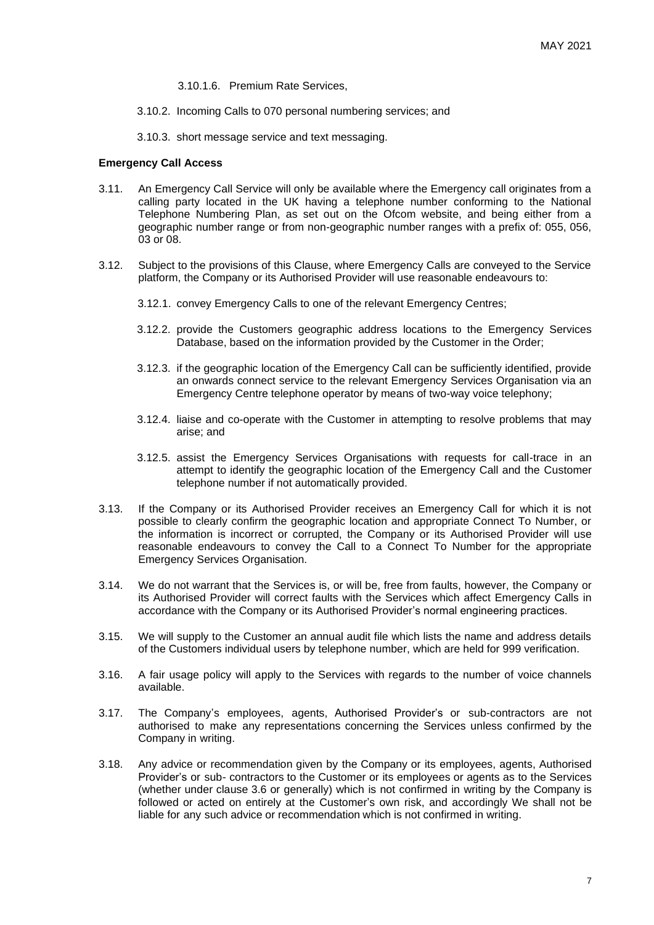- 3.10.1.6. Premium Rate Services,
- 3.10.2. Incoming Calls to 070 personal numbering services; and
- 3.10.3. short message service and text messaging.

#### **Emergency Call Access**

- 3.11. An Emergency Call Service will only be available where the Emergency call originates from a calling party located in the UK having a telephone number conforming to the National Telephone Numbering Plan, as set out on the Ofcom website, and being either from a geographic number range or from non-geographic number ranges with a prefix of: 055, 056, 03 or 08.
- 3.12. Subject to the provisions of this Clause, where Emergency Calls are conveyed to the Service platform, the Company or its Authorised Provider will use reasonable endeavours to:
	- 3.12.1. convey Emergency Calls to one of the relevant Emergency Centres;
	- 3.12.2. provide the Customers geographic address locations to the Emergency Services Database, based on the information provided by the Customer in the Order;
	- 3.12.3. if the geographic location of the Emergency Call can be sufficiently identified, provide an onwards connect service to the relevant Emergency Services Organisation via an Emergency Centre telephone operator by means of two-way voice telephony;
	- 3.12.4. liaise and co-operate with the Customer in attempting to resolve problems that may arise; and
	- 3.12.5. assist the Emergency Services Organisations with requests for call-trace in an attempt to identify the geographic location of the Emergency Call and the Customer telephone number if not automatically provided.
- 3.13. If the Company or its Authorised Provider receives an Emergency Call for which it is not possible to clearly confirm the geographic location and appropriate Connect To Number, or the information is incorrect or corrupted, the Company or its Authorised Provider will use reasonable endeavours to convey the Call to a Connect To Number for the appropriate Emergency Services Organisation.
- 3.14. We do not warrant that the Services is, or will be, free from faults, however, the Company or its Authorised Provider will correct faults with the Services which affect Emergency Calls in accordance with the Company or its Authorised Provider's normal engineering practices.
- 3.15. We will supply to the Customer an annual audit file which lists the name and address details of the Customers individual users by telephone number, which are held for 999 verification.
- 3.16. A fair usage policy will apply to the Services with regards to the number of voice channels available.
- 3.17. The Company's employees, agents, Authorised Provider's or sub-contractors are not authorised to make any representations concerning the Services unless confirmed by the Company in writing.
- 3.18. Any advice or recommendation given by the Company or its employees, agents, Authorised Provider's or sub- contractors to the Customer or its employees or agents as to the Services (whether under clause 3.6 or generally) which is not confirmed in writing by the Company is followed or acted on entirely at the Customer's own risk, and accordingly We shall not be liable for any such advice or recommendation which is not confirmed in writing.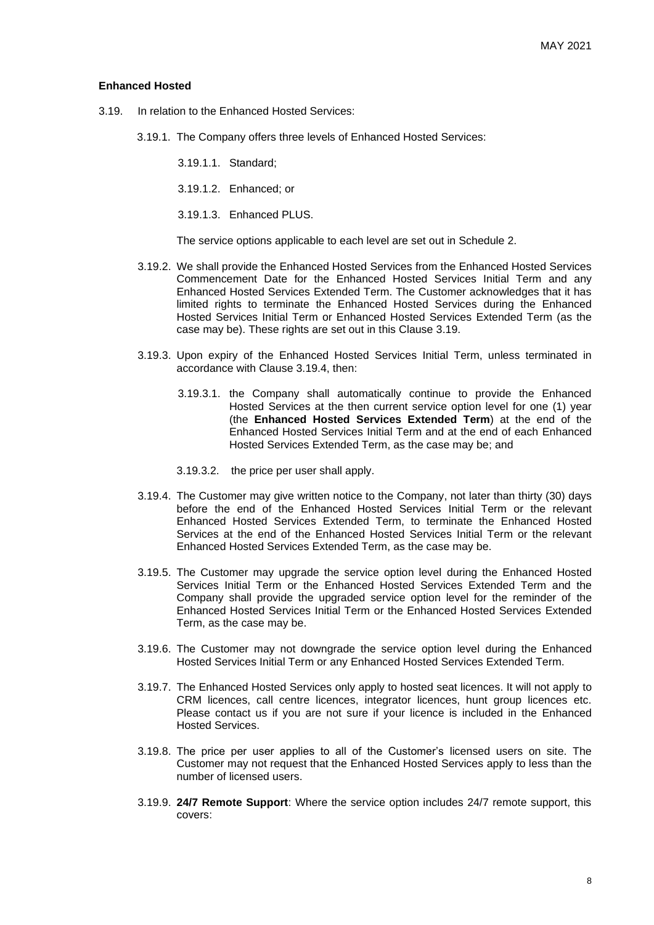#### **Enhanced Hosted**

- 3.19. In relation to the Enhanced Hosted Services:
	- 3.19.1. The Company offers three levels of Enhanced Hosted Services:
		- 3.19.1.1. Standard;
		- 3.19.1.2. Enhanced; or
		- 3.19.1.3. Enhanced PLUS.

The service options applicable to each level are set out in Schedule 2.

- 3.19.2. We shall provide the Enhanced Hosted Services from the Enhanced Hosted Services Commencement Date for the Enhanced Hosted Services Initial Term and any Enhanced Hosted Services Extended Term. The Customer acknowledges that it has limited rights to terminate the Enhanced Hosted Services during the Enhanced Hosted Services Initial Term or Enhanced Hosted Services Extended Term (as the case may be). These rights are set out in this Clause 3.19.
- 3.19.3. Upon expiry of the Enhanced Hosted Services Initial Term, unless terminated in accordance with Clause 3.19.4, then:
	- 3.19.3.1. the Company shall automatically continue to provide the Enhanced Hosted Services at the then current service option level for one (1) year (the **Enhanced Hosted Services Extended Term**) at the end of the Enhanced Hosted Services Initial Term and at the end of each Enhanced Hosted Services Extended Term, as the case may be; and
	- 3.19.3.2. the price per user shall apply.
- 3.19.4. The Customer may give written notice to the Company, not later than thirty (30) days before the end of the Enhanced Hosted Services Initial Term or the relevant Enhanced Hosted Services Extended Term, to terminate the Enhanced Hosted Services at the end of the Enhanced Hosted Services Initial Term or the relevant Enhanced Hosted Services Extended Term, as the case may be.
- 3.19.5. The Customer may upgrade the service option level during the Enhanced Hosted Services Initial Term or the Enhanced Hosted Services Extended Term and the Company shall provide the upgraded service option level for the reminder of the Enhanced Hosted Services Initial Term or the Enhanced Hosted Services Extended Term, as the case may be.
- 3.19.6. The Customer may not downgrade the service option level during the Enhanced Hosted Services Initial Term or any Enhanced Hosted Services Extended Term.
- 3.19.7. The Enhanced Hosted Services only apply to hosted seat licences. It will not apply to CRM licences, call centre licences, integrator licences, hunt group licences etc. Please contact us if you are not sure if your licence is included in the Enhanced Hosted Services.
- 3.19.8. The price per user applies to all of the Customer's licensed users on site. The Customer may not request that the Enhanced Hosted Services apply to less than the number of licensed users.
- 3.19.9. **24/7 Remote Support**: Where the service option includes 24/7 remote support, this covers: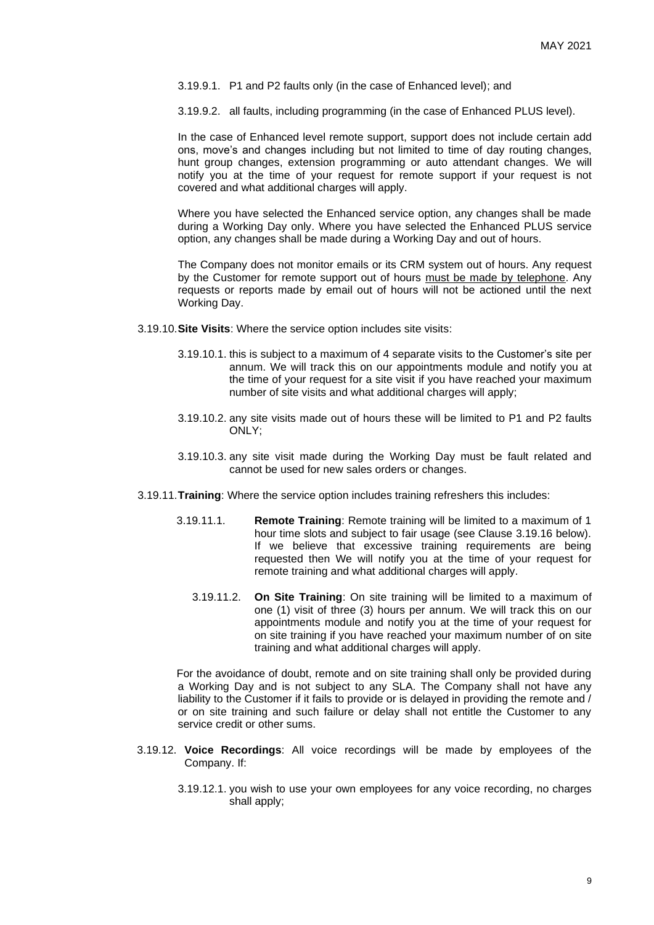- 3.19.9.1. P1 and P2 faults only (in the case of Enhanced level); and
- 3.19.9.2. all faults, including programming (in the case of Enhanced PLUS level).

In the case of Enhanced level remote support, support does not include certain add ons, move's and changes including but not limited to time of day routing changes, hunt group changes, extension programming or auto attendant changes. We will notify you at the time of your request for remote support if your request is not covered and what additional charges will apply.

Where you have selected the Enhanced service option, any changes shall be made during a Working Day only. Where you have selected the Enhanced PLUS service option, any changes shall be made during a Working Day and out of hours.

The Company does not monitor emails or its CRM system out of hours. Any request by the Customer for remote support out of hours must be made by telephone. Any requests or reports made by email out of hours will not be actioned until the next Working Day.

- 3.19.10.**Site Visits**: Where the service option includes site visits:
	- 3.19.10.1. this is subject to a maximum of 4 separate visits to the Customer's site per annum. We will track this on our appointments module and notify you at the time of your request for a site visit if you have reached your maximum number of site visits and what additional charges will apply;
	- 3.19.10.2. any site visits made out of hours these will be limited to P1 and P2 faults ONLY;
	- 3.19.10.3. any site visit made during the Working Day must be fault related and cannot be used for new sales orders or changes.
- 3.19.11.**Training**: Where the service option includes training refreshers this includes:
	- 3.19.11.1. **Remote Training**: Remote training will be limited to a maximum of 1 hour time slots and subject to fair usage (see Clause 3.19.16 below). If we believe that excessive training requirements are being requested then We will notify you at the time of your request for remote training and what additional charges will apply.
		- 3.19.11.2. **On Site Training**: On site training will be limited to a maximum of one (1) visit of three (3) hours per annum. We will track this on our appointments module and notify you at the time of your request for on site training if you have reached your maximum number of on site training and what additional charges will apply.

For the avoidance of doubt, remote and on site training shall only be provided during a Working Day and is not subject to any SLA. The Company shall not have any liability to the Customer if it fails to provide or is delayed in providing the remote and / or on site training and such failure or delay shall not entitle the Customer to any service credit or other sums.

- 3.19.12. **Voice Recordings**: All voice recordings will be made by employees of the Company. If:
	- 3.19.12.1. you wish to use your own employees for any voice recording, no charges shall apply;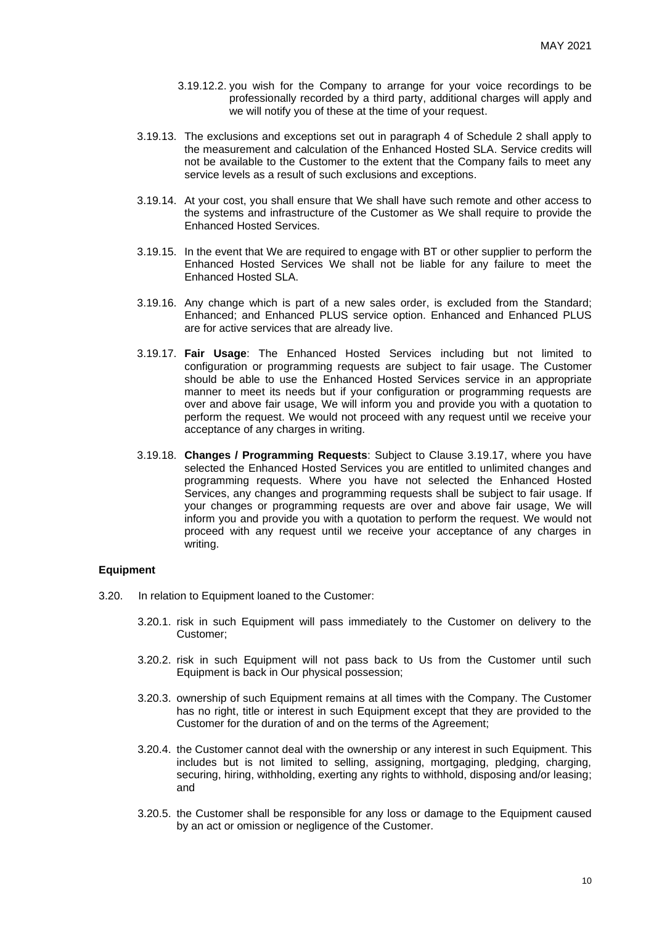- 3.19.12.2. you wish for the Company to arrange for your voice recordings to be professionally recorded by a third party, additional charges will apply and we will notify you of these at the time of your request.
- 3.19.13. The exclusions and exceptions set out in paragraph 4 of Schedule 2 shall apply to the measurement and calculation of the Enhanced Hosted SLA. Service credits will not be available to the Customer to the extent that the Company fails to meet any service levels as a result of such exclusions and exceptions.
- 3.19.14. At your cost, you shall ensure that We shall have such remote and other access to the systems and infrastructure of the Customer as We shall require to provide the Enhanced Hosted Services.
- 3.19.15. In the event that We are required to engage with BT or other supplier to perform the Enhanced Hosted Services We shall not be liable for any failure to meet the Enhanced Hosted SLA.
- 3.19.16. Any change which is part of a new sales order, is excluded from the Standard; Enhanced; and Enhanced PLUS service option. Enhanced and Enhanced PLUS are for active services that are already live.
- 3.19.17. **Fair Usage**: The Enhanced Hosted Services including but not limited to configuration or programming requests are subject to fair usage. The Customer should be able to use the Enhanced Hosted Services service in an appropriate manner to meet its needs but if your configuration or programming requests are over and above fair usage, We will inform you and provide you with a quotation to perform the request. We would not proceed with any request until we receive your acceptance of any charges in writing.
- 3.19.18. **Changes / Programming Requests**: Subject to Clause 3.19.17, where you have selected the Enhanced Hosted Services you are entitled to unlimited changes and programming requests. Where you have not selected the Enhanced Hosted Services, any changes and programming requests shall be subject to fair usage. If your changes or programming requests are over and above fair usage, We will inform you and provide you with a quotation to perform the request. We would not proceed with any request until we receive your acceptance of any charges in writing.

# **Equipment**

- 3.20. In relation to Equipment loaned to the Customer:
	- 3.20.1. risk in such Equipment will pass immediately to the Customer on delivery to the Customer;
	- 3.20.2. risk in such Equipment will not pass back to Us from the Customer until such Equipment is back in Our physical possession;
	- 3.20.3. ownership of such Equipment remains at all times with the Company. The Customer has no right, title or interest in such Equipment except that they are provided to the Customer for the duration of and on the terms of the Agreement;
	- 3.20.4. the Customer cannot deal with the ownership or any interest in such Equipment. This includes but is not limited to selling, assigning, mortgaging, pledging, charging, securing, hiring, withholding, exerting any rights to withhold, disposing and/or leasing; and
	- 3.20.5. the Customer shall be responsible for any loss or damage to the Equipment caused by an act or omission or negligence of the Customer.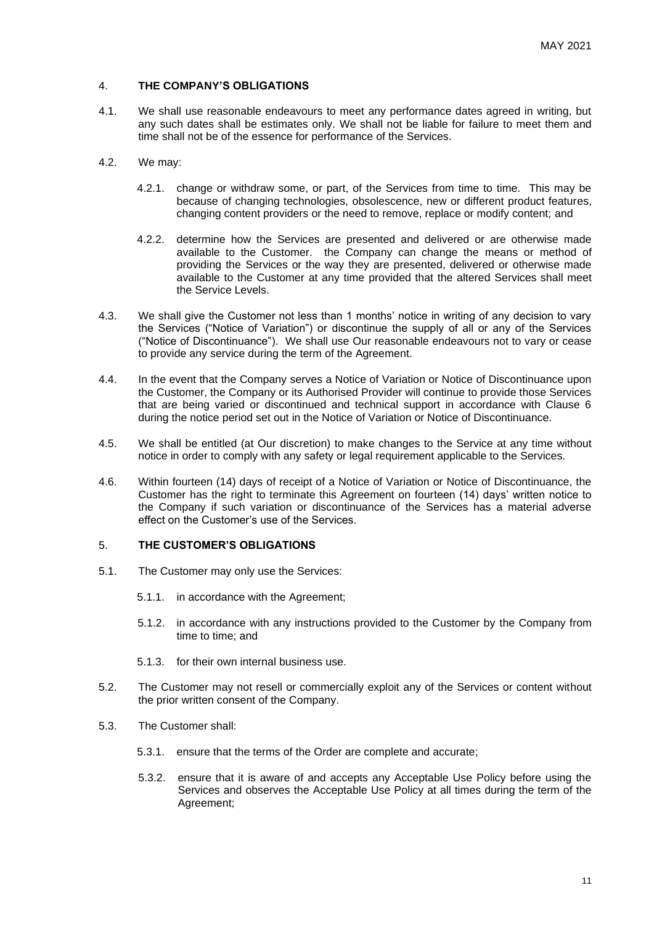# 4. **THE COMPANY'S OBLIGATIONS**

- 4.1. We shall use reasonable endeavours to meet any performance dates agreed in writing, but any such dates shall be estimates only. We shall not be liable for failure to meet them and time shall not be of the essence for performance of the Services.
- 4.2. We may:
	- 4.2.1. change or withdraw some, or part, of the Services from time to time. This may be because of changing technologies, obsolescence, new or different product features, changing content providers or the need to remove, replace or modify content; and
	- 4.2.2. determine how the Services are presented and delivered or are otherwise made available to the Customer. the Company can change the means or method of providing the Services or the way they are presented, delivered or otherwise made available to the Customer at any time provided that the altered Services shall meet the Service Levels.
- 4.3. We shall give the Customer not less than 1 months' notice in writing of any decision to vary the Services ("Notice of Variation") or discontinue the supply of all or any of the Services ("Notice of Discontinuance"). We shall use Our reasonable endeavours not to vary or cease to provide any service during the term of the Agreement.
- 4.4. In the event that the Company serves a Notice of Variation or Notice of Discontinuance upon the Customer, the Company or its Authorised Provider will continue to provide those Services that are being varied or discontinued and technical support in accordance with Clause 6 during the notice period set out in the Notice of Variation or Notice of Discontinuance.
- 4.5. We shall be entitled (at Our discretion) to make changes to the Service at any time without notice in order to comply with any safety or legal requirement applicable to the Services.
- 4.6. Within fourteen (14) days of receipt of a Notice of Variation or Notice of Discontinuance, the Customer has the right to terminate this Agreement on fourteen (14) days' written notice to the Company if such variation or discontinuance of the Services has a material adverse effect on the Customer's use of the Services.

# 5. **THE CUSTOMER'S OBLIGATIONS**

- 5.1. The Customer may only use the Services:
	- 5.1.1. in accordance with the Agreement;
	- 5.1.2. in accordance with any instructions provided to the Customer by the Company from time to time; and
	- 5.1.3. for their own internal business use.
- 5.2. The Customer may not resell or commercially exploit any of the Services or content without the prior written consent of the Company.
- 5.3. The Customer shall:
	- 5.3.1. ensure that the terms of the Order are complete and accurate;
	- 5.3.2. ensure that it is aware of and accepts any Acceptable Use Policy before using the Services and observes the Acceptable Use Policy at all times during the term of the Agreement;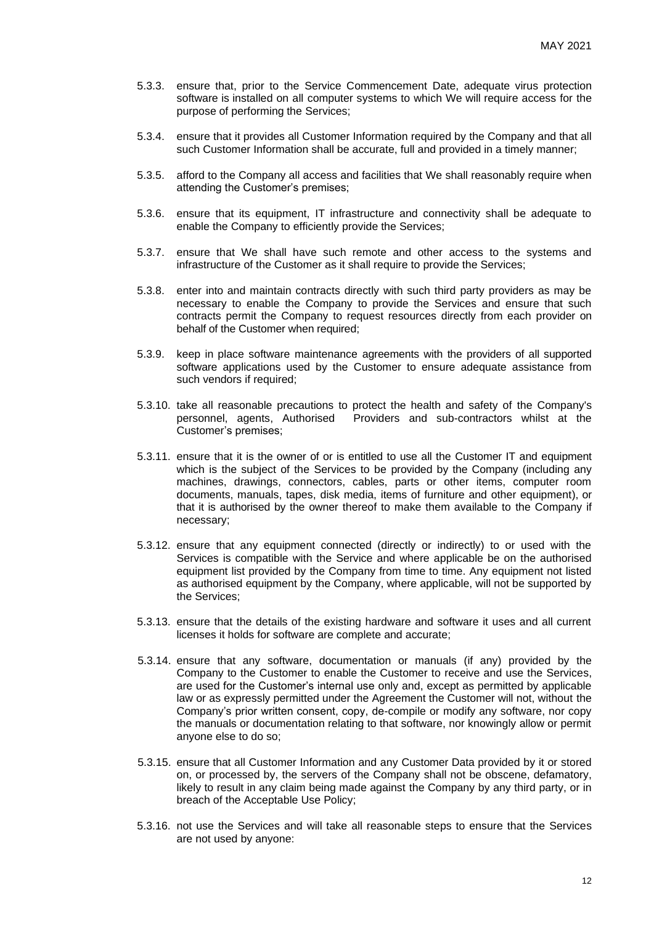- 5.3.3. ensure that, prior to the Service Commencement Date, adequate virus protection software is installed on all computer systems to which We will require access for the purpose of performing the Services;
- 5.3.4. ensure that it provides all Customer Information required by the Company and that all such Customer Information shall be accurate, full and provided in a timely manner;
- 5.3.5. afford to the Company all access and facilities that We shall reasonably require when attending the Customer's premises;
- 5.3.6. ensure that its equipment, IT infrastructure and connectivity shall be adequate to enable the Company to efficiently provide the Services;
- 5.3.7. ensure that We shall have such remote and other access to the systems and infrastructure of the Customer as it shall require to provide the Services;
- 5.3.8. enter into and maintain contracts directly with such third party providers as may be necessary to enable the Company to provide the Services and ensure that such contracts permit the Company to request resources directly from each provider on behalf of the Customer when required;
- 5.3.9. keep in place software maintenance agreements with the providers of all supported software applications used by the Customer to ensure adequate assistance from such vendors if required:
- 5.3.10. take all reasonable precautions to protect the health and safety of the Company's personnel, agents, Authorised Providers and sub-contractors whilst at the Customer's premises;
- 5.3.11. ensure that it is the owner of or is entitled to use all the Customer IT and equipment which is the subject of the Services to be provided by the Company (including any machines, drawings, connectors, cables, parts or other items, computer room documents, manuals, tapes, disk media, items of furniture and other equipment), or that it is authorised by the owner thereof to make them available to the Company if necessary;
- 5.3.12. ensure that any equipment connected (directly or indirectly) to or used with the Services is compatible with the Service and where applicable be on the authorised equipment list provided by the Company from time to time. Any equipment not listed as authorised equipment by the Company, where applicable, will not be supported by the Services;
- 5.3.13. ensure that the details of the existing hardware and software it uses and all current licenses it holds for software are complete and accurate;
- 5.3.14. ensure that any software, documentation or manuals (if any) provided by the Company to the Customer to enable the Customer to receive and use the Services, are used for the Customer's internal use only and, except as permitted by applicable law or as expressly permitted under the Agreement the Customer will not, without the Company's prior written consent, copy, de-compile or modify any software, nor copy the manuals or documentation relating to that software, nor knowingly allow or permit anyone else to do so;
- 5.3.15. ensure that all Customer Information and any Customer Data provided by it or stored on, or processed by, the servers of the Company shall not be obscene, defamatory, likely to result in any claim being made against the Company by any third party, or in breach of the Acceptable Use Policy;
- 5.3.16. not use the Services and will take all reasonable steps to ensure that the Services are not used by anyone: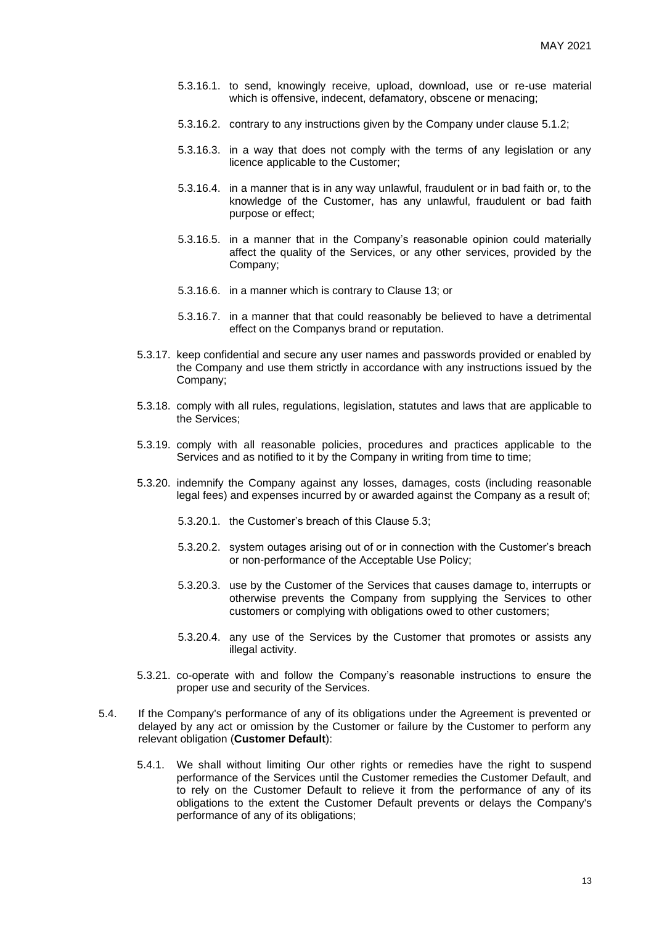- 5.3.16.1. to send, knowingly receive, upload, download, use or re-use material which is offensive, indecent, defamatory, obscene or menacing;
- 5.3.16.2. contrary to any instructions given by the Company under clause 5.1.2;
- 5.3.16.3. in a way that does not comply with the terms of any legislation or any licence applicable to the Customer;
- 5.3.16.4. in a manner that is in any way unlawful, fraudulent or in bad faith or, to the knowledge of the Customer, has any unlawful, fraudulent or bad faith purpose or effect;
- 5.3.16.5. in a manner that in the Company's reasonable opinion could materially affect the quality of the Services, or any other services, provided by the Company;
- 5.3.16.6. in a manner which is contrary to Clause 13; or
- 5.3.16.7. in a manner that that could reasonably be believed to have a detrimental effect on the Companys brand or reputation.
- 5.3.17. keep confidential and secure any user names and passwords provided or enabled by the Company and use them strictly in accordance with any instructions issued by the Company;
- 5.3.18. comply with all rules, regulations, legislation, statutes and laws that are applicable to the Services;
- 5.3.19. comply with all reasonable policies, procedures and practices applicable to the Services and as notified to it by the Company in writing from time to time;
- 5.3.20. indemnify the Company against any losses, damages, costs (including reasonable legal fees) and expenses incurred by or awarded against the Company as a result of;
	- 5.3.20.1. the Customer's breach of this Clause 5.3;
	- 5.3.20.2. system outages arising out of or in connection with the Customer's breach or non-performance of the Acceptable Use Policy;
	- 5.3.20.3. use by the Customer of the Services that causes damage to, interrupts or otherwise prevents the Company from supplying the Services to other customers or complying with obligations owed to other customers;
	- 5.3.20.4. any use of the Services by the Customer that promotes or assists any illegal activity.
- 5.3.21. co-operate with and follow the Company's reasonable instructions to ensure the proper use and security of the Services.
- 5.4. If the Company's performance of any of its obligations under the Agreement is prevented or delayed by any act or omission by the Customer or failure by the Customer to perform any relevant obligation (**Customer Default**):
	- 5.4.1. We shall without limiting Our other rights or remedies have the right to suspend performance of the Services until the Customer remedies the Customer Default, and to rely on the Customer Default to relieve it from the performance of any of its obligations to the extent the Customer Default prevents or delays the Company's performance of any of its obligations;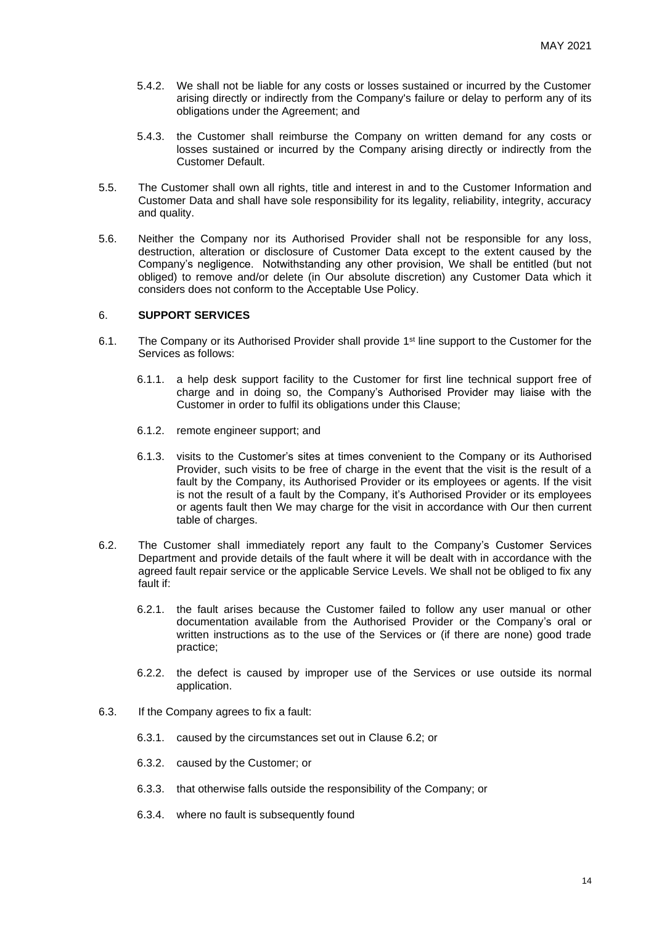- 5.4.2. We shall not be liable for any costs or losses sustained or incurred by the Customer arising directly or indirectly from the Company's failure or delay to perform any of its obligations under the Agreement; and
- 5.4.3. the Customer shall reimburse the Company on written demand for any costs or losses sustained or incurred by the Company arising directly or indirectly from the Customer Default.
- 5.5. The Customer shall own all rights, title and interest in and to the Customer Information and Customer Data and shall have sole responsibility for its legality, reliability, integrity, accuracy and quality.
- 5.6. Neither the Company nor its Authorised Provider shall not be responsible for any loss, destruction, alteration or disclosure of Customer Data except to the extent caused by the Company's negligence. Notwithstanding any other provision, We shall be entitled (but not obliged) to remove and/or delete (in Our absolute discretion) any Customer Data which it considers does not conform to the Acceptable Use Policy.

#### 6. **SUPPORT SERVICES**

- 6.1. The Company or its Authorised Provider shall provide 1<sup>st</sup> line support to the Customer for the Services as follows:
	- 6.1.1. a help desk support facility to the Customer for first line technical support free of charge and in doing so, the Company's Authorised Provider may liaise with the Customer in order to fulfil its obligations under this Clause;
	- 6.1.2. remote engineer support; and
	- 6.1.3. visits to the Customer's sites at times convenient to the Company or its Authorised Provider, such visits to be free of charge in the event that the visit is the result of a fault by the Company, its Authorised Provider or its employees or agents. If the visit is not the result of a fault by the Company, it's Authorised Provider or its employees or agents fault then We may charge for the visit in accordance with Our then current table of charges.
- 6.2. The Customer shall immediately report any fault to the Company's Customer Services Department and provide details of the fault where it will be dealt with in accordance with the agreed fault repair service or the applicable Service Levels. We shall not be obliged to fix any fault if:
	- 6.2.1. the fault arises because the Customer failed to follow any user manual or other documentation available from the Authorised Provider or the Company's oral or written instructions as to the use of the Services or (if there are none) good trade practice;
	- 6.2.2. the defect is caused by improper use of the Services or use outside its normal application.
- 6.3. If the Company agrees to fix a fault:
	- 6.3.1. caused by the circumstances set out in Clause 6.2; or
	- 6.3.2. caused by the Customer; or
	- 6.3.3. that otherwise falls outside the responsibility of the Company; or
	- 6.3.4. where no fault is subsequently found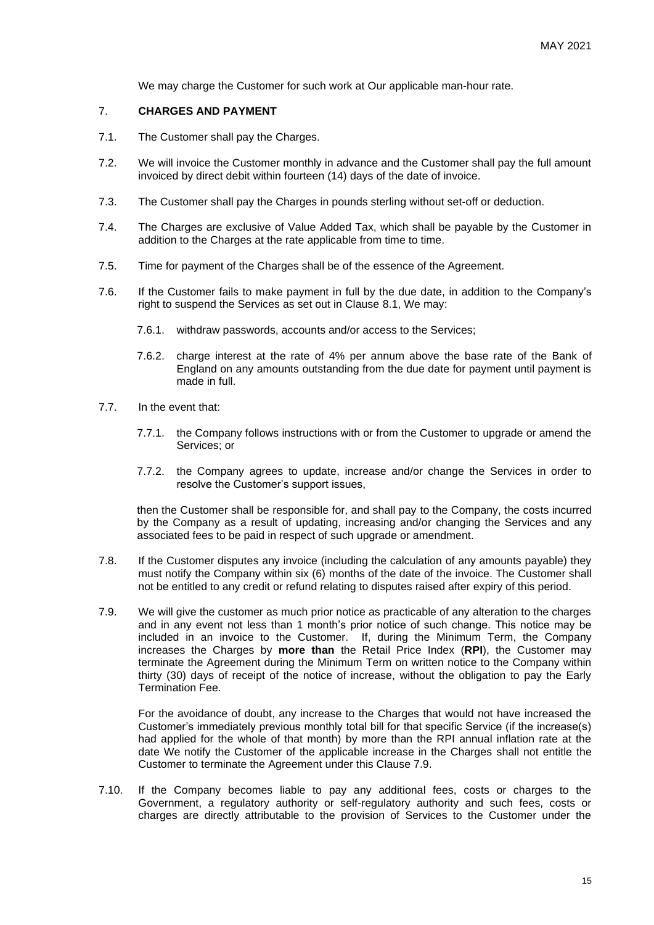We may charge the Customer for such work at Our applicable man-hour rate.

#### 7. **CHARGES AND PAYMENT**

- 7.1. The Customer shall pay the Charges.
- 7.2. We will invoice the Customer monthly in advance and the Customer shall pay the full amount invoiced by direct debit within fourteen (14) days of the date of invoice.
- 7.3. The Customer shall pay the Charges in pounds sterling without set-off or deduction.
- 7.4. The Charges are exclusive of Value Added Tax, which shall be payable by the Customer in addition to the Charges at the rate applicable from time to time.
- 7.5. Time for payment of the Charges shall be of the essence of the Agreement.
- 7.6. If the Customer fails to make payment in full by the due date, in addition to the Company's right to suspend the Services as set out in Clause 8.1, We may:
	- 7.6.1. withdraw passwords, accounts and/or access to the Services;
	- 7.6.2. charge interest at the rate of 4% per annum above the base rate of the Bank of England on any amounts outstanding from the due date for payment until payment is made in full.
- 7.7. In the event that:
	- 7.7.1. the Company follows instructions with or from the Customer to upgrade or amend the Services; or
	- 7.7.2. the Company agrees to update, increase and/or change the Services in order to resolve the Customer's support issues,

then the Customer shall be responsible for, and shall pay to the Company, the costs incurred by the Company as a result of updating, increasing and/or changing the Services and any associated fees to be paid in respect of such upgrade or amendment.

- 7.8. If the Customer disputes any invoice (including the calculation of any amounts payable) they must notify the Company within six (6) months of the date of the invoice. The Customer shall not be entitled to any credit or refund relating to disputes raised after expiry of this period.
- 7.9. We will give the customer as much prior notice as practicable of any alteration to the charges and in any event not less than 1 month's prior notice of such change. This notice may be included in an invoice to the Customer. If, during the Minimum Term, the Company increases the Charges by **more than** the Retail Price Index (**RPI**), the Customer may terminate the Agreement during the Minimum Term on written notice to the Company within thirty (30) days of receipt of the notice of increase, without the obligation to pay the Early Termination Fee.

For the avoidance of doubt, any increase to the Charges that would not have increased the Customer's immediately previous monthly total bill for that specific Service (if the increase(s) had applied for the whole of that month) by more than the RPI annual inflation rate at the date We notify the Customer of the applicable increase in the Charges shall not entitle the Customer to terminate the Agreement under this Clause 7.9.

7.10. If the Company becomes liable to pay any additional fees, costs or charges to the Government, a regulatory authority or self-regulatory authority and such fees, costs or charges are directly attributable to the provision of Services to the Customer under the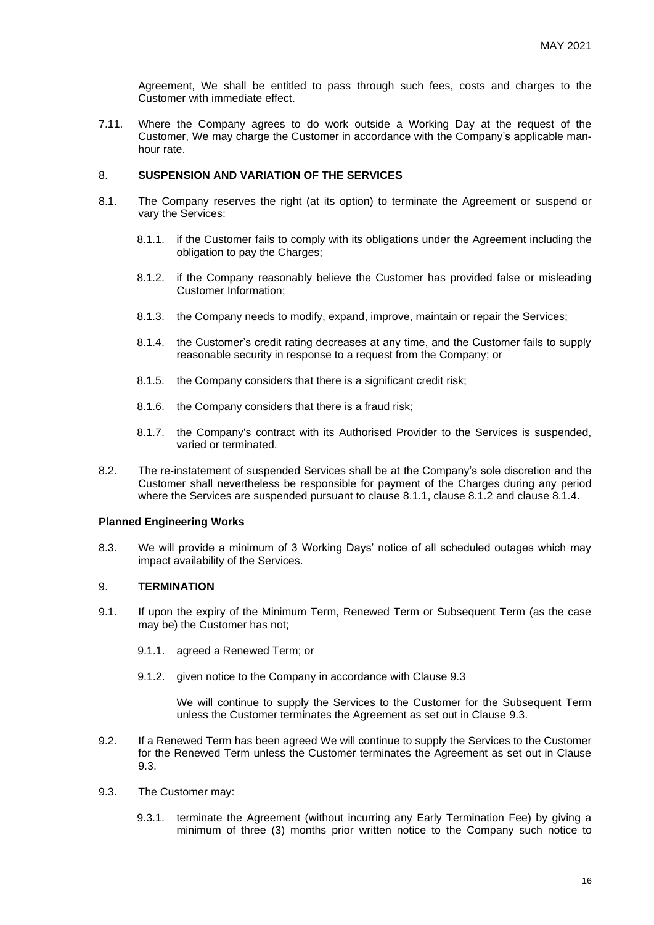Agreement, We shall be entitled to pass through such fees, costs and charges to the Customer with immediate effect.

7.11. Where the Company agrees to do work outside a Working Day at the request of the Customer, We may charge the Customer in accordance with the Company's applicable manhour rate.

# 8. **SUSPENSION AND VARIATION OF THE SERVICES**

- 8.1. The Company reserves the right (at its option) to terminate the Agreement or suspend or vary the Services:
	- 8.1.1. if the Customer fails to comply with its obligations under the Agreement including the obligation to pay the Charges;
	- 8.1.2. if the Company reasonably believe the Customer has provided false or misleading Customer Information;
	- 8.1.3. the Company needs to modify, expand, improve, maintain or repair the Services;
	- 8.1.4. the Customer's credit rating decreases at any time, and the Customer fails to supply reasonable security in response to a request from the Company; or
	- 8.1.5. the Company considers that there is a significant credit risk;
	- 8.1.6. the Company considers that there is a fraud risk;
	- 8.1.7. the Company's contract with its Authorised Provider to the Services is suspended, varied or terminated.
- 8.2. The re-instatement of suspended Services shall be at the Company's sole discretion and the Customer shall nevertheless be responsible for payment of the Charges during any period where the Services are suspended pursuant to clause 8.1.1, clause 8.1.2 and clause 8.1.4.

#### **Planned Engineering Works**

8.3. We will provide a minimum of 3 Working Days' notice of all scheduled outages which may impact availability of the Services.

# 9. **TERMINATION**

- 9.1. If upon the expiry of the Minimum Term, Renewed Term or Subsequent Term (as the case may be) the Customer has not;
	- 9.1.1. agreed a Renewed Term; or
	- 9.1.2. given notice to the Company in accordance with Clause 9.3

We will continue to supply the Services to the Customer for the Subsequent Term unless the Customer terminates the Agreement as set out in Clause 9.3.

- 9.2. If a Renewed Term has been agreed We will continue to supply the Services to the Customer for the Renewed Term unless the Customer terminates the Agreement as set out in Clause 9.3.
- 9.3. The Customer may:
	- 9.3.1. terminate the Agreement (without incurring any Early Termination Fee) by giving a minimum of three (3) months prior written notice to the Company such notice to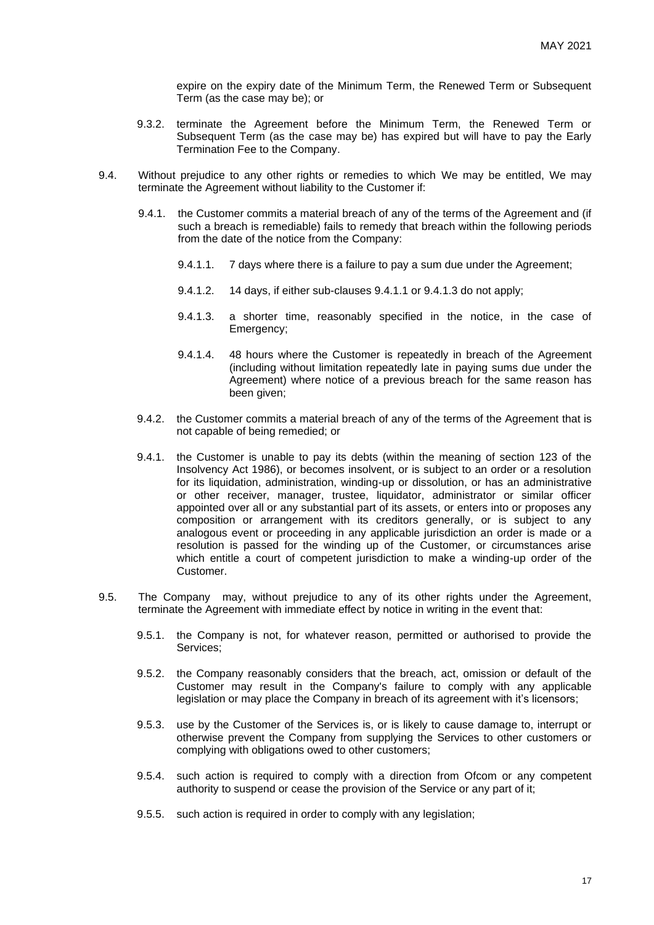expire on the expiry date of the Minimum Term, the Renewed Term or Subsequent Term (as the case may be); or

- 9.3.2. terminate the Agreement before the Minimum Term, the Renewed Term or Subsequent Term (as the case may be) has expired but will have to pay the Early Termination Fee to the Company.
- 9.4. Without prejudice to any other rights or remedies to which We may be entitled, We may terminate the Agreement without liability to the Customer if:
	- 9.4.1. the Customer commits a material breach of any of the terms of the Agreement and (if such a breach is remediable) fails to remedy that breach within the following periods from the date of the notice from the Company:
		- 9.4.1.1. 7 days where there is a failure to pay a sum due under the Agreement;
		- 9.4.1.2. 14 days, if either sub-clauses 9.4.1.1 or 9.4.1.3 do not apply;
		- 9.4.1.3. a shorter time, reasonably specified in the notice, in the case of Emergency;
		- 9.4.1.4. 48 hours where the Customer is repeatedly in breach of the Agreement (including without limitation repeatedly late in paying sums due under the Agreement) where notice of a previous breach for the same reason has been given;
	- 9.4.2. the Customer commits a material breach of any of the terms of the Agreement that is not capable of being remedied; or
	- 9.4.1. the Customer is unable to pay its debts (within the meaning of section 123 of the Insolvency Act 1986), or becomes insolvent, or is subject to an order or a resolution for its liquidation, administration, winding-up or dissolution, or has an administrative or other receiver, manager, trustee, liquidator, administrator or similar officer appointed over all or any substantial part of its assets, or enters into or proposes any composition or arrangement with its creditors generally, or is subject to any analogous event or proceeding in any applicable jurisdiction an order is made or a resolution is passed for the winding up of the Customer, or circumstances arise which entitle a court of competent jurisdiction to make a winding-up order of the Customer.
- 9.5. The Company may, without prejudice to any of its other rights under the Agreement, terminate the Agreement with immediate effect by notice in writing in the event that:
	- 9.5.1. the Company is not, for whatever reason, permitted or authorised to provide the Services;
	- 9.5.2. the Company reasonably considers that the breach, act, omission or default of the Customer may result in the Company's failure to comply with any applicable legislation or may place the Company in breach of its agreement with it's licensors;
	- 9.5.3. use by the Customer of the Services is, or is likely to cause damage to, interrupt or otherwise prevent the Company from supplying the Services to other customers or complying with obligations owed to other customers;
	- 9.5.4. such action is required to comply with a direction from Ofcom or any competent authority to suspend or cease the provision of the Service or any part of it;
	- 9.5.5. such action is required in order to comply with any legislation;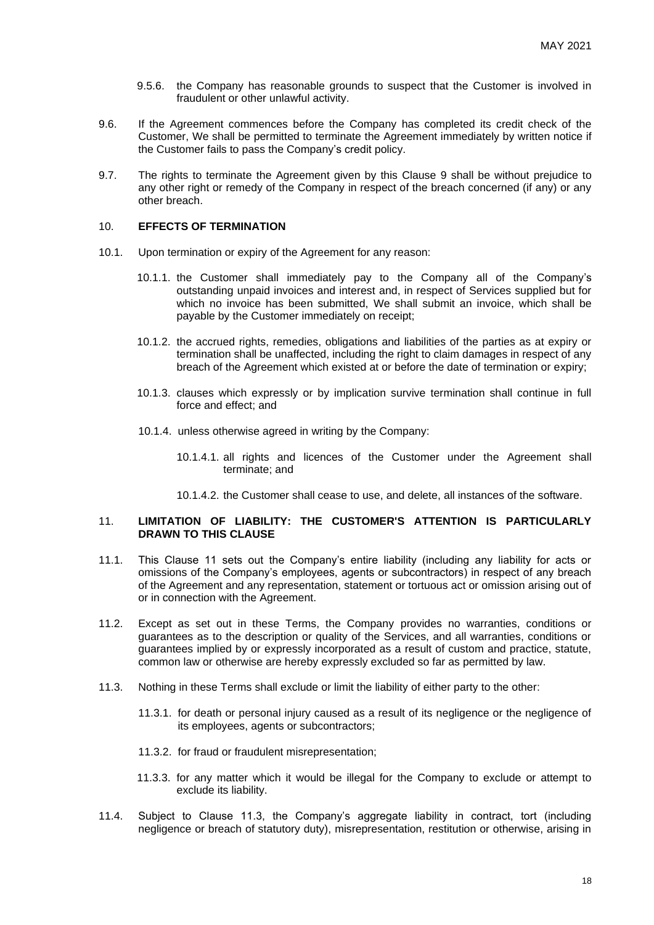- 9.5.6. the Company has reasonable grounds to suspect that the Customer is involved in fraudulent or other unlawful activity.
- 9.6. If the Agreement commences before the Company has completed its credit check of the Customer, We shall be permitted to terminate the Agreement immediately by written notice if the Customer fails to pass the Company's credit policy.
- 9.7. The rights to terminate the Agreement given by this Clause 9 shall be without prejudice to any other right or remedy of the Company in respect of the breach concerned (if any) or any other breach.

## 10. **EFFECTS OF TERMINATION**

- 10.1. Upon termination or expiry of the Agreement for any reason:
	- 10.1.1. the Customer shall immediately pay to the Company all of the Company's outstanding unpaid invoices and interest and, in respect of Services supplied but for which no invoice has been submitted, We shall submit an invoice, which shall be payable by the Customer immediately on receipt;
	- 10.1.2. the accrued rights, remedies, obligations and liabilities of the parties as at expiry or termination shall be unaffected, including the right to claim damages in respect of any breach of the Agreement which existed at or before the date of termination or expiry;
	- 10.1.3. clauses which expressly or by implication survive termination shall continue in full force and effect; and
	- 10.1.4. unless otherwise agreed in writing by the Company:
		- 10.1.4.1. all rights and licences of the Customer under the Agreement shall terminate; and
		- 10.1.4.2. the Customer shall cease to use, and delete, all instances of the software.

#### 11. **LIMITATION OF LIABILITY: THE CUSTOMER'S ATTENTION IS PARTICULARLY DRAWN TO THIS CLAUSE**

- 11.1. This Clause 11 sets out the Company's entire liability (including any liability for acts or omissions of the Company's employees, agents or subcontractors) in respect of any breach of the Agreement and any representation, statement or tortuous act or omission arising out of or in connection with the Agreement.
- 11.2. Except as set out in these Terms, the Company provides no warranties, conditions or guarantees as to the description or quality of the Services, and all warranties, conditions or guarantees implied by or expressly incorporated as a result of custom and practice, statute, common law or otherwise are hereby expressly excluded so far as permitted by law.
- 11.3. Nothing in these Terms shall exclude or limit the liability of either party to the other:
	- 11.3.1. for death or personal injury caused as a result of its negligence or the negligence of its employees, agents or subcontractors;
	- 11.3.2. for fraud or fraudulent misrepresentation;
	- 11.3.3. for any matter which it would be illegal for the Company to exclude or attempt to exclude its liability.
- 11.4. Subject to Clause 11.3, the Company's aggregate liability in contract, tort (including negligence or breach of statutory duty), misrepresentation, restitution or otherwise, arising in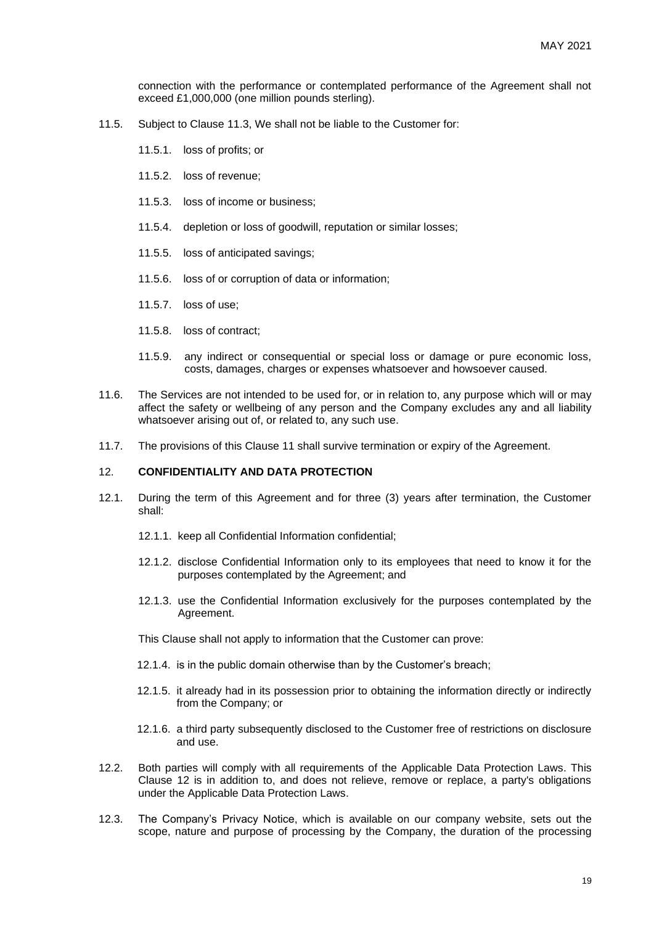connection with the performance or contemplated performance of the Agreement shall not exceed £1,000,000 (one million pounds sterling).

- 11.5. Subject to Clause 11.3, We shall not be liable to the Customer for:
	- 11.5.1. loss of profits; or
	- 11.5.2. loss of revenue;
	- 11.5.3. loss of income or business;
	- 11.5.4. depletion or loss of goodwill, reputation or similar losses;
	- 11.5.5. loss of anticipated savings;
	- 11.5.6. loss of or corruption of data or information;
	- 11.5.7. loss of use;
	- 11.5.8. loss of contract;
	- 11.5.9. any indirect or consequential or special loss or damage or pure economic loss, costs, damages, charges or expenses whatsoever and howsoever caused.
- 11.6. The Services are not intended to be used for, or in relation to, any purpose which will or may affect the safety or wellbeing of any person and the Company excludes any and all liability whatsoever arising out of, or related to, any such use.
- 11.7. The provisions of this Clause 11 shall survive termination or expiry of the Agreement.

#### 12. **CONFIDENTIALITY AND DATA PROTECTION**

- <span id="page-18-0"></span>12.1. During the term of this Agreement and for three (3) years after termination, the Customer shall:
	- 12.1.1. keep all Confidential Information confidential;
	- 12.1.2. disclose Confidential Information only to its employees that need to know it for the purposes contemplated by the Agreement; and
	- 12.1.3. use the Confidential Information exclusively for the purposes contemplated by the Agreement.
	- This Clause shall not apply to information that the Customer can prove:
	- 12.1.4. is in the public domain otherwise than by the Customer's breach;
	- 12.1.5. it already had in its possession prior to obtaining the information directly or indirectly from the Company; or
	- 12.1.6. a third party subsequently disclosed to the Customer free of restrictions on disclosure and use.
- 12.2. Both parties will comply with all requirements of the Applicable Data Protection Laws. This Clause 12 is in addition to, and does not relieve, remove or replace, a party's obligations under the Applicable Data Protection Laws.
- 12.3. The Company's Privacy Notice, which is available on our company website, sets out the scope, nature and purpose of processing by the Company, the duration of the processing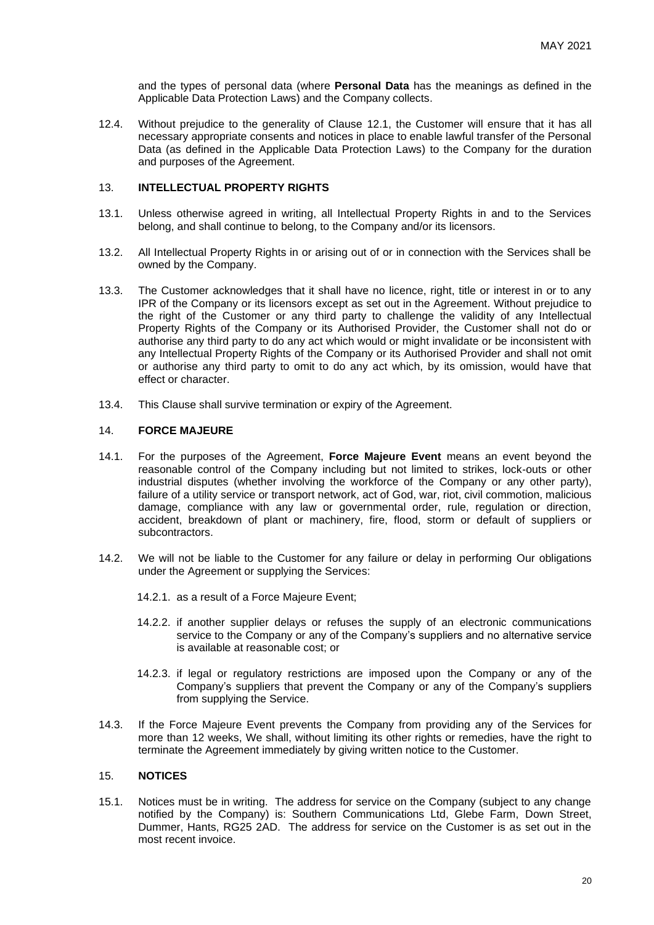and the types of personal data (where **Personal Data** has the meanings as defined in the Applicable Data Protection Laws) and the Company collects.

12.4. Without prejudice to the generality of Clause [12.1,](#page-18-0) the Customer will ensure that it has all necessary appropriate consents and notices in place to enable lawful transfer of the Personal Data (as defined in the Applicable Data Protection Laws) to the Company for the duration and purposes of the Agreement.

# 13. **INTELLECTUAL PROPERTY RIGHTS**

- 13.1. Unless otherwise agreed in writing, all Intellectual Property Rights in and to the Services belong, and shall continue to belong, to the Company and/or its licensors.
- 13.2. All Intellectual Property Rights in or arising out of or in connection with the Services shall be owned by the Company.
- 13.3. The Customer acknowledges that it shall have no licence, right, title or interest in or to any IPR of the Company or its licensors except as set out in the Agreement. Without prejudice to the right of the Customer or any third party to challenge the validity of any Intellectual Property Rights of the Company or its Authorised Provider, the Customer shall not do or authorise any third party to do any act which would or might invalidate or be inconsistent with any Intellectual Property Rights of the Company or its Authorised Provider and shall not omit or authorise any third party to omit to do any act which, by its omission, would have that effect or character.
- 13.4. This Clause shall survive termination or expiry of the Agreement.

# 14. **FORCE MAJEURE**

- 14.1. For the purposes of the Agreement, **Force Majeure Event** means an event beyond the reasonable control of the Company including but not limited to strikes, lock-outs or other industrial disputes (whether involving the workforce of the Company or any other party), failure of a utility service or transport network, act of God, war, riot, civil commotion, malicious damage, compliance with any law or governmental order, rule, regulation or direction, accident, breakdown of plant or machinery, fire, flood, storm or default of suppliers or subcontractors.
- 14.2. We will not be liable to the Customer for any failure or delay in performing Our obligations under the Agreement or supplying the Services:
	- 14.2.1. as a result of a Force Majeure Event;
	- 14.2.2. if another supplier delays or refuses the supply of an electronic communications service to the Company or any of the Company's suppliers and no alternative service is available at reasonable cost; or
	- 14.2.3. if legal or regulatory restrictions are imposed upon the Company or any of the Company's suppliers that prevent the Company or any of the Company's suppliers from supplying the Service.
- 14.3. If the Force Majeure Event prevents the Company from providing any of the Services for more than 12 weeks, We shall, without limiting its other rights or remedies, have the right to terminate the Agreement immediately by giving written notice to the Customer.

#### 15. **NOTICES**

15.1. Notices must be in writing. The address for service on the Company (subject to any change notified by the Company) is: Southern Communications Ltd, Glebe Farm, Down Street, Dummer, Hants, RG25 2AD. The address for service on the Customer is as set out in the most recent invoice.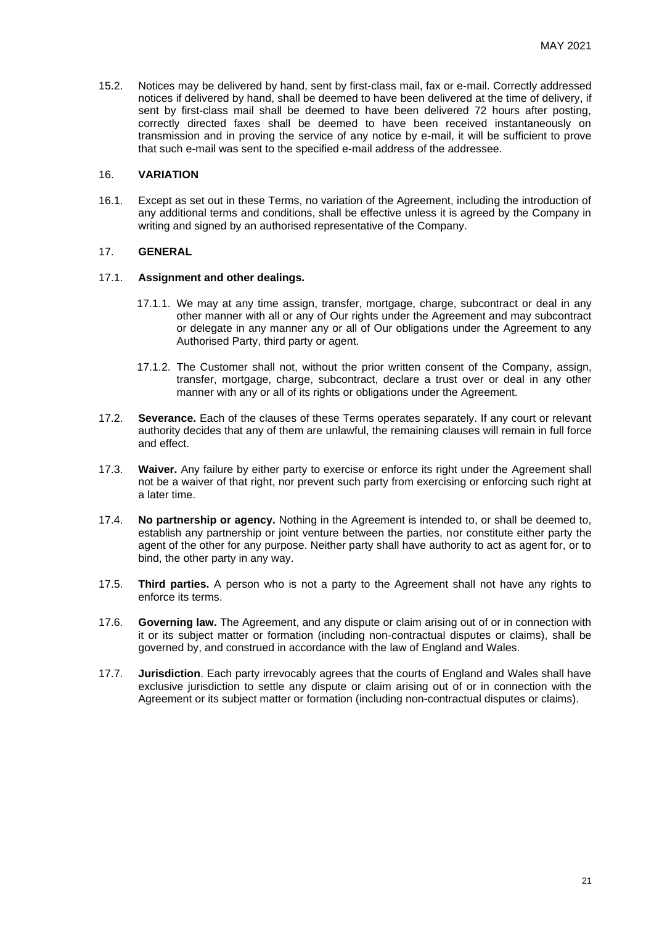15.2. Notices may be delivered by hand, sent by first-class mail, fax or e-mail. Correctly addressed notices if delivered by hand, shall be deemed to have been delivered at the time of delivery, if sent by first-class mail shall be deemed to have been delivered 72 hours after posting, correctly directed faxes shall be deemed to have been received instantaneously on transmission and in proving the service of any notice by e-mail, it will be sufficient to prove that such e-mail was sent to the specified e-mail address of the addressee.

## 16. **VARIATION**

16.1. Except as set out in these Terms, no variation of the Agreement, including the introduction of any additional terms and conditions, shall be effective unless it is agreed by the Company in writing and signed by an authorised representative of the Company.

# 17. **GENERAL**

#### 17.1. **Assignment and other dealings.**

- 17.1.1. We may at any time assign, transfer, mortgage, charge, subcontract or deal in any other manner with all or any of Our rights under the Agreement and may subcontract or delegate in any manner any or all of Our obligations under the Agreement to any Authorised Party, third party or agent.
- 17.1.2. The Customer shall not, without the prior written consent of the Company, assign, transfer, mortgage, charge, subcontract, declare a trust over or deal in any other manner with any or all of its rights or obligations under the Agreement.
- 17.2. **Severance.** Each of the clauses of these Terms operates separately. If any court or relevant authority decides that any of them are unlawful, the remaining clauses will remain in full force and effect.
- 17.3. **Waiver.** Any failure by either party to exercise or enforce its right under the Agreement shall not be a waiver of that right, nor prevent such party from exercising or enforcing such right at a later time.
- 17.4. **No partnership or agency.** Nothing in the Agreement is intended to, or shall be deemed to, establish any partnership or joint venture between the parties, nor constitute either party the agent of the other for any purpose. Neither party shall have authority to act as agent for, or to bind, the other party in any way.
- 17.5. **Third parties.** A person who is not a party to the Agreement shall not have any rights to enforce its terms.
- 17.6. **Governing law.** The Agreement, and any dispute or claim arising out of or in connection with it or its subject matter or formation (including non-contractual disputes or claims), shall be governed by, and construed in accordance with the law of England and Wales.
- 17.7. **Jurisdiction**. Each party irrevocably agrees that the courts of England and Wales shall have exclusive jurisdiction to settle any dispute or claim arising out of or in connection with the Agreement or its subject matter or formation (including non-contractual disputes or claims).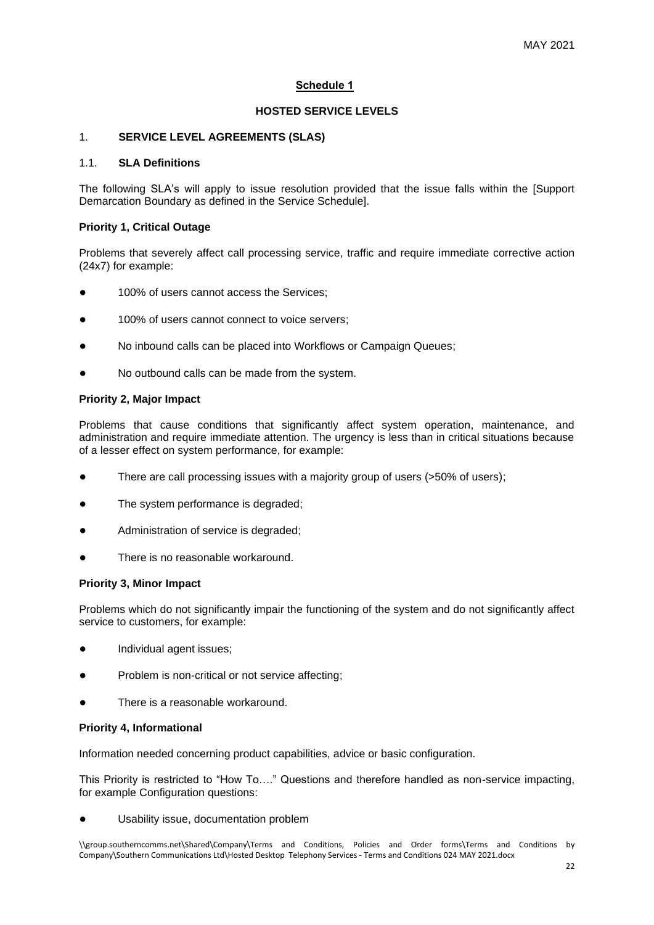# **Schedule 1**

# **HOSTED SERVICE LEVELS**

#### 1. **SERVICE LEVEL AGREEMENTS (SLAS)**

## 1.1. **SLA Definitions**

The following SLA's will apply to issue resolution provided that the issue falls within the [Support Demarcation Boundary as defined in the Service Schedule].

#### **Priority 1, Critical Outage**

Problems that severely affect call processing service, traffic and require immediate corrective action (24x7) for example:

- 100% of users cannot access the Services;
- 100% of users cannot connect to voice servers:
- No inbound calls can be placed into Workflows or Campaign Queues;
- No outbound calls can be made from the system.

#### **Priority 2, Major Impact**

Problems that cause conditions that significantly affect system operation, maintenance, and administration and require immediate attention. The urgency is less than in critical situations because of a lesser effect on system performance, for example:

- There are call processing issues with a majority group of users (>50% of users);
- The system performance is degraded;
- Administration of service is degraded;
- There is no reasonable workaround.

## **Priority 3, Minor Impact**

Problems which do not significantly impair the functioning of the system and do not significantly affect service to customers, for example:

- Individual agent issues;
- Problem is non-critical or not service affecting;
- There is a reasonable workaround.

# **Priority 4, Informational**

Information needed concerning product capabilities, advice or basic configuration.

This Priority is restricted to "How To…." Questions and therefore handled as non-service impacting, for example Configuration questions:

Usability issue, documentation problem

\\group.southerncomms.net\Shared\Company\Terms and Conditions, Policies and Order forms\Terms and Conditions by Company\Southern Communications Ltd\Hosted Desktop Telephony Services - Terms and Conditions 024 MAY 2021.docx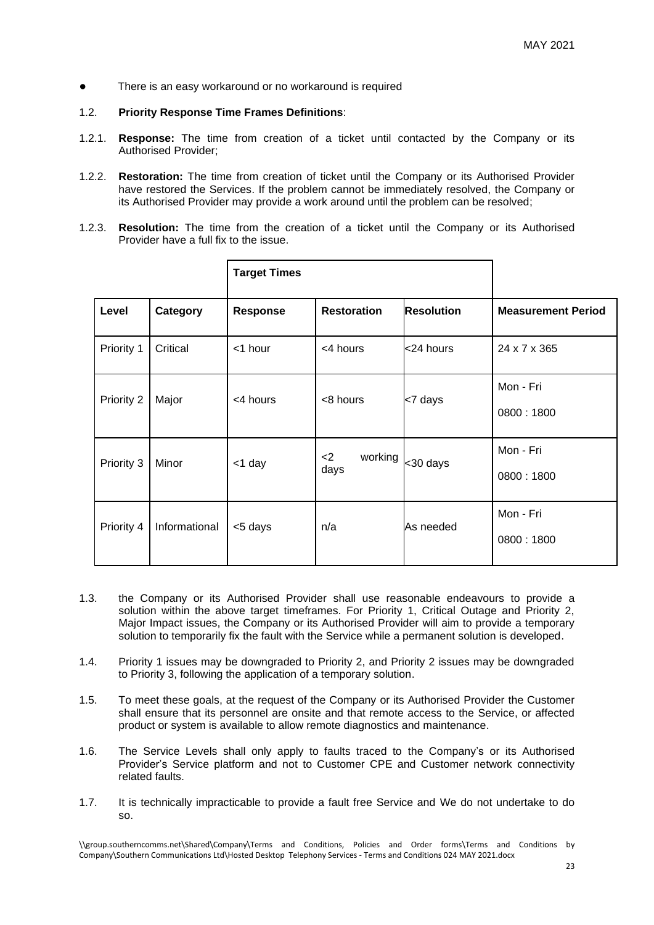There is an easy workaround or no workaround is required

#### 1.2. **Priority Response Time Frames Definitions**:

- 1.2.1. **Response:** The time from creation of a ticket until contacted by the Company or its Authorised Provider;
- 1.2.2. **Restoration:** The time from creation of ticket until the Company or its Authorised Provider have restored the Services. If the problem cannot be immediately resolved, the Company or its Authorised Provider may provide a work around until the problem can be resolved;
- 1.2.3. **Resolution:** The time from the creation of a ticket until the Company or its Authorised Provider have a full fix to the issue.

|            |               | <b>Target Times</b> |                          |                   |                           |
|------------|---------------|---------------------|--------------------------|-------------------|---------------------------|
| Level      | Category      | <b>Response</b>     | <b>Restoration</b>       | <b>Resolution</b> | <b>Measurement Period</b> |
| Priority 1 | Critical      | <1 hour             | <4 hours                 | <24 hours         | 24 x 7 x 365              |
| Priority 2 | Major         | <4 hours            | <8 hours                 | <7 days           | Mon - Fri<br>0800:1800    |
| Priority 3 | Minor         | <1 day              | working<br>$<$ 2<br>days | <30 days          | Mon - Fri<br>0800:1800    |
| Priority 4 | Informational | <5 days             | n/a                      | As needed         | Mon - Fri<br>0800:1800    |

- 1.3. the Company or its Authorised Provider shall use reasonable endeavours to provide a solution within the above target timeframes. For Priority 1, Critical Outage and Priority 2, Major Impact issues, the Company or its Authorised Provider will aim to provide a temporary solution to temporarily fix the fault with the Service while a permanent solution is developed.
- 1.4. Priority 1 issues may be downgraded to Priority 2, and Priority 2 issues may be downgraded to Priority 3, following the application of a temporary solution.
- 1.5. To meet these goals, at the request of the Company or its Authorised Provider the Customer shall ensure that its personnel are onsite and that remote access to the Service, or affected product or system is available to allow remote diagnostics and maintenance.
- 1.6. The Service Levels shall only apply to faults traced to the Company's or its Authorised Provider's Service platform and not to Customer CPE and Customer network connectivity related faults.
- 1.7. It is technically impracticable to provide a fault free Service and We do not undertake to do so.

\\group.southerncomms.net\Shared\Company\Terms and Conditions, Policies and Order forms\Terms and Conditions by Company\Southern Communications Ltd\Hosted Desktop Telephony Services - Terms and Conditions 024 MAY 2021.docx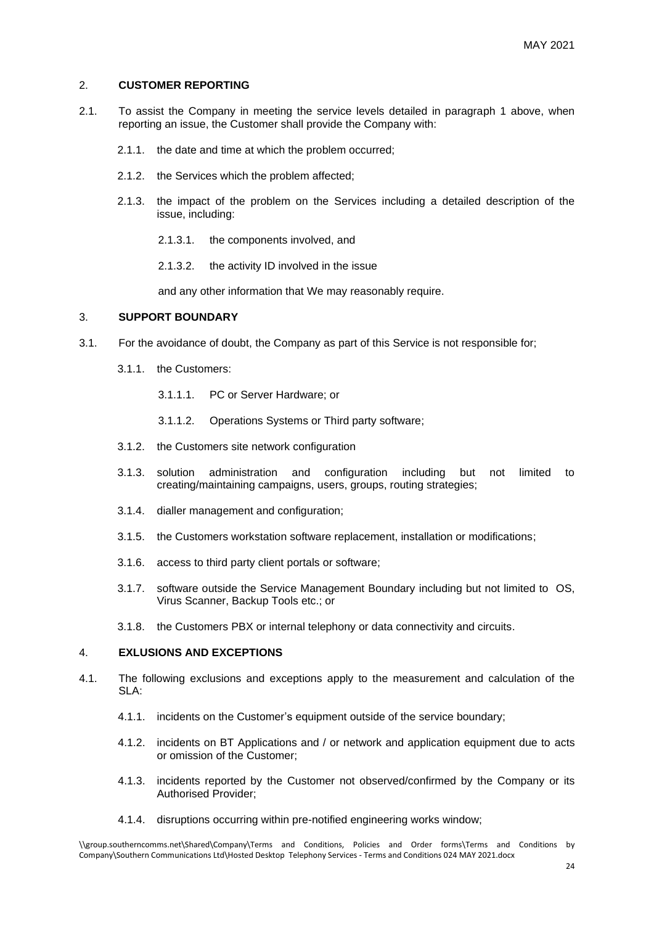#### 2. **CUSTOMER REPORTING**

- 2.1. To assist the Company in meeting the service levels detailed in paragraph 1 above, when reporting an issue, the Customer shall provide the Company with:
	- 2.1.1. the date and time at which the problem occurred;
	- 2.1.2. the Services which the problem affected;
	- 2.1.3. the impact of the problem on the Services including a detailed description of the issue, including:
		- 2.1.3.1. the components involved, and
		- 2.1.3.2. the activity ID involved in the issue

and any other information that We may reasonably require.

#### 3. **SUPPORT BOUNDARY**

- 3.1. For the avoidance of doubt, the Company as part of this Service is not responsible for;
	- 3.1.1. the Customers:
		- 3.1.1.1. PC or Server Hardware; or
		- 3.1.1.2. Operations Systems or Third party software;
	- 3.1.2. the Customers site network configuration
	- 3.1.3. solution administration and configuration including but not limited to creating/maintaining campaigns, users, groups, routing strategies;
	- 3.1.4. dialler management and configuration;
	- 3.1.5. the Customers workstation software replacement, installation or modifications;
	- 3.1.6. access to third party client portals or software;
	- 3.1.7. software outside the Service Management Boundary including but not limited to OS, Virus Scanner, Backup Tools etc.; or
	- 3.1.8. the Customers PBX or internal telephony or data connectivity and circuits.

## 4. **EXLUSIONS AND EXCEPTIONS**

- 4.1. The following exclusions and exceptions apply to the measurement and calculation of the SLA:
	- 4.1.1. incidents on the Customer's equipment outside of the service boundary;
	- 4.1.2. incidents on BT Applications and / or network and application equipment due to acts or omission of the Customer;
	- 4.1.3. incidents reported by the Customer not observed/confirmed by the Company or its Authorised Provider;
	- 4.1.4. disruptions occurring within pre-notified engineering works window;

<sup>\\</sup>group.southerncomms.net\Shared\Company\Terms and Conditions, Policies and Order forms\Terms and Conditions by Company\Southern Communications Ltd\Hosted Desktop Telephony Services - Terms and Conditions 024 MAY 2021.docx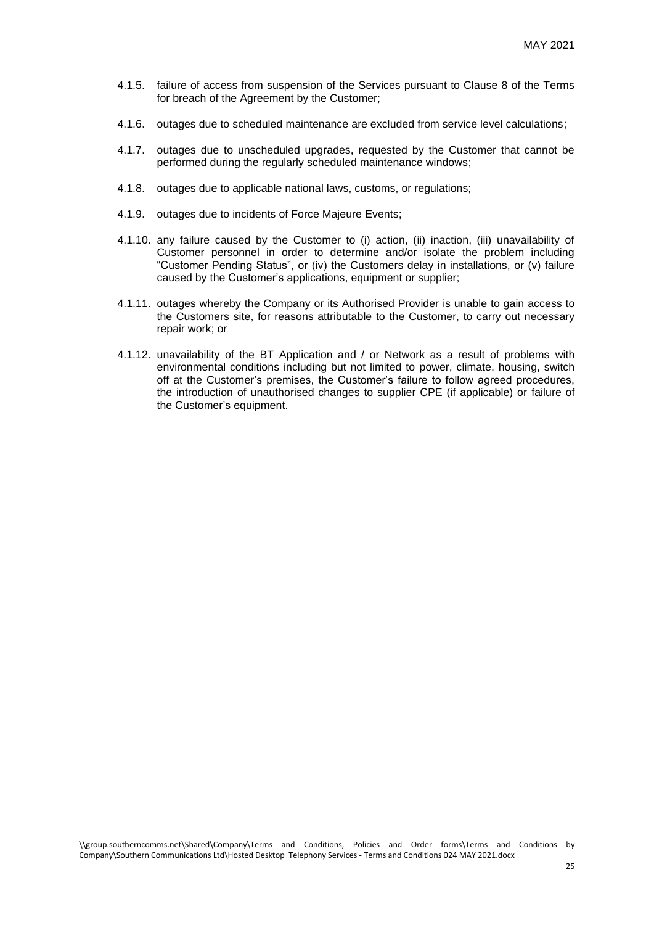- 4.1.5. failure of access from suspension of the Services pursuant to Clause 8 of the Terms for breach of the Agreement by the Customer;
- 4.1.6. outages due to scheduled maintenance are excluded from service level calculations;
- 4.1.7. outages due to unscheduled upgrades, requested by the Customer that cannot be performed during the regularly scheduled maintenance windows;
- 4.1.8. outages due to applicable national laws, customs, or regulations;
- 4.1.9. outages due to incidents of Force Majeure Events;
- 4.1.10. any failure caused by the Customer to (i) action, (ii) inaction, (iii) unavailability of Customer personnel in order to determine and/or isolate the problem including "Customer Pending Status", or (iv) the Customers delay in installations, or (v) failure caused by the Customer's applications, equipment or supplier;
- 4.1.11. outages whereby the Company or its Authorised Provider is unable to gain access to the Customers site, for reasons attributable to the Customer, to carry out necessary repair work; or
- 4.1.12. unavailability of the BT Application and / or Network as a result of problems with environmental conditions including but not limited to power, climate, housing, switch off at the Customer's premises, the Customer's failure to follow agreed procedures, the introduction of unauthorised changes to supplier CPE (if applicable) or failure of the Customer's equipment.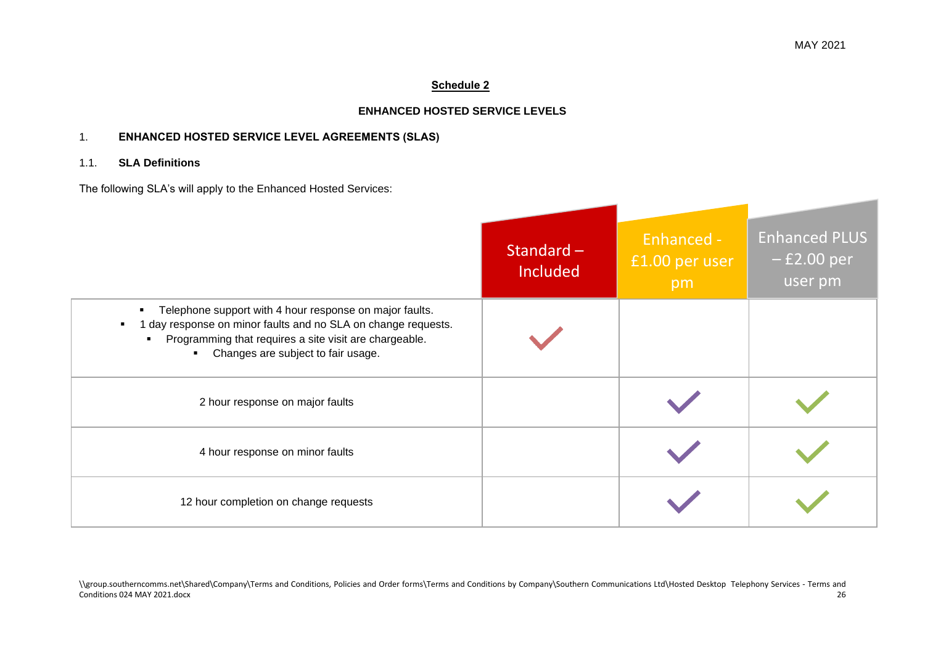# **Schedule 2**

# **ENHANCED HOSTED SERVICE LEVELS**

# 1. **ENHANCED HOSTED SERVICE LEVEL AGREEMENTS (SLAS)**

# 1.1. **SLA Definitions**

The following SLA's will apply to the Enhanced Hosted Services:

|                                                                                                                                                                                                                               | Standard $-$<br>Included | Enhanced -<br>£1.00 per user<br>pm | <b>Enhanced PLUS</b><br>$-$ £2.00 per<br>user pm |
|-------------------------------------------------------------------------------------------------------------------------------------------------------------------------------------------------------------------------------|--------------------------|------------------------------------|--------------------------------------------------|
| Telephone support with 4 hour response on major faults.<br>1 day response on minor faults and no SLA on change requests.<br>Programming that requires a site visit are chargeable.<br>٠<br>Changes are subject to fair usage. |                          |                                    |                                                  |
| 2 hour response on major faults                                                                                                                                                                                               |                          |                                    |                                                  |
| 4 hour response on minor faults                                                                                                                                                                                               |                          |                                    |                                                  |
| 12 hour completion on change requests                                                                                                                                                                                         |                          |                                    |                                                  |

\\group.southerncomms.net\Shared\Company\Terms and Conditions, Policies and Order forms\Terms and Conditions by Company\Southern Communications Ltd\Hosted Desktop Telephony Services - Terms and<br>26<br>26 Conditions 024 MAY 2021.docx